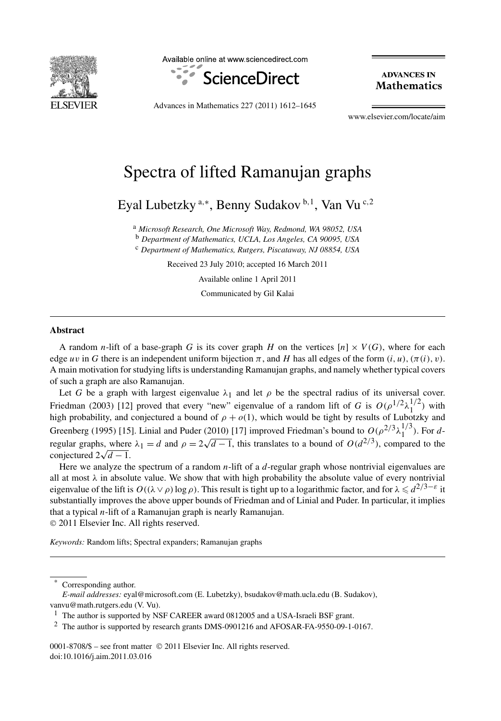

Available online at www.sciencedirect.com



**ADVANCES IN Mathematics** 

Advances in Mathematics 227 (2011) 1612–1645

www.elsevier.com/locate/aim

# Spectra of lifted Ramanujan graphs

Eyal Lubetzky <sup>a</sup>*,*<sup>∗</sup> , Benny Sudakov <sup>b</sup>*,*<sup>1</sup> , Van Vu <sup>c</sup>*,*<sup>2</sup>

<sup>a</sup> *Microsoft Research, One Microsoft Way, Redmond, WA 98052, USA*

<sup>b</sup> *Department of Mathematics, UCLA, Los Angeles, CA 90095, USA*

<sup>c</sup> *Department of Mathematics, Rutgers, Piscataway, NJ 08854, USA*

Received 23 July 2010; accepted 16 March 2011

Available online 1 April 2011

Communicated by Gil Kalai

#### **Abstract**

A random *n*-lift of a base-graph *G* is its cover graph *H* on the vertices  $[n] \times V(G)$ , where for each edge *uv* in *G* there is an independent uniform bijection  $\pi$ , and *H* has all edges of the form  $(i, u)$ ,  $(\pi(i), v)$ . A main motivation for studying lifts is understanding Ramanujan graphs, and namely whether typical covers of such a graph are also Ramanujan.

Let *G* be a graph with largest eigenvalue  $\lambda_1$  and let  $\rho$  be the spectral radius of its universal cover. Friedman (2003) [12] proved that every "new" eigenvalue of a random lift of *G* is  $O(\rho^{1/2} \lambda_1^{1/2})$  with high probability, and conjectured a bound of  $\rho + o(1)$ , which would be tight by results of Lubotzky and Greenberg (1995) [15]. Linial and Puder (2010) [17] improved Friedman's bound to  $O(\rho^{2/3} \lambda_1^{1/3})$ . For *d*regular graphs, where  $\lambda_1 = d$  and  $\rho = 2\sqrt{d-1}$ , this translates to a bound of  $O(d^{2/3})$ , compared to the conjectured  $2\sqrt{d-1}$ .

Here we analyze the spectrum of a random *n*-lift of a *d*-regular graph whose nontrivial eigenvalues are all at most  $\lambda$  in absolute value. We show that with high probability the absolute value of every nontrivial eigenvalue of the lift is  $O((\lambda \vee \rho) \log \rho)$ . This result is tight up to a logarithmic factor, and for  $\lambda \leq d^{2/3-\epsilon}$  it substantially improves the above upper bounds of Friedman and of Linial and Puder. In particular, it implies that a typical *n*-lift of a Ramanujan graph is nearly Ramanujan.

© 2011 Elsevier Inc. All rights reserved.

*Keywords:* Random lifts; Spectral expanders; Ramanujan graphs

0001-8708/\$ – see front matter © 2011 Elsevier Inc. All rights reserved. doi:10.1016/j.aim.2011.03.016

Corresponding author.

*E-mail addresses:* eyal@microsoft.com (E. Lubetzky), bsudakov@math.ucla.edu (B. Sudakov), vanvu@math.rutgers.edu (V. Vu).

<sup>&</sup>lt;sup>1</sup> The author is supported by NSF CAREER award 0812005 and a USA-Israeli BSF grant.

<sup>2</sup> The author is supported by research grants DMS-0901216 and AFOSAR-FA-9550-09-1-0167.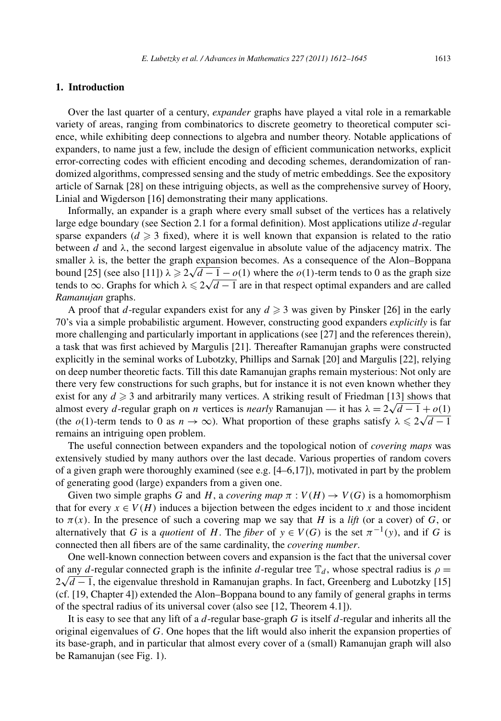## **1. Introduction**

Over the last quarter of a century, *expander* graphs have played a vital role in a remarkable variety of areas, ranging from combinatorics to discrete geometry to theoretical computer science, while exhibiting deep connections to algebra and number theory. Notable applications of expanders, to name just a few, include the design of efficient communication networks, explicit error-correcting codes with efficient encoding and decoding schemes, derandomization of randomized algorithms, compressed sensing and the study of metric embeddings. See the expository article of Sarnak [28] on these intriguing objects, as well as the comprehensive survey of Hoory, Linial and Wigderson [16] demonstrating their many applications.

Informally, an expander is a graph where every small subset of the vertices has a relatively large edge boundary (see Section 2.1 for a formal definition). Most applications utilize *d*-regular sparse expanders  $(d \geq 3$  fixed), where it is well known that expansion is related to the ratio between *d* and  $\lambda$ , the second largest eigenvalue in absolute value of the adjacency matrix. The smaller  $\lambda$  is, the better the graph expansion becomes. As a consequence of the Alon–Boppana Smaller λ is, the better the graph expansion becomes. As a consequence of the Alon-Boppana<br>bound [25] (see also [11])  $\lambda \ge 2\sqrt{d-1} - o(1)$  where the *o*(1)-term tends to 0 as the graph size bound [25] (see also [11])  $\lambda \ge 2\sqrt{a-1} - o(1)$  where the *o*(1)-term tends to 0 as the graph size tends to ∞. Graphs for which  $\lambda \le 2\sqrt{d-1}$  are in that respect optimal expanders and are called *Ramanujan* graphs.

A proof that *d*-regular expanders exist for any  $d \ge 3$  was given by Pinsker [26] in the early 70's via a simple probabilistic argument. However, constructing good expanders *explicitly* is far more challenging and particularly important in applications (see [27] and the references therein), a task that was first achieved by Margulis [21]. Thereafter Ramanujan graphs were constructed explicitly in the seminal works of Lubotzky, Phillips and Sarnak [20] and Margulis [22], relying on deep number theoretic facts. Till this date Ramanujan graphs remain mysterious: Not only are there very few constructions for such graphs, but for instance it is not even known whether they exist for any  $d \geq 3$  and arbitrarily many vertices. A striking result of Friedman [13] shows that exist for any  $d \ge 3$  and arbitrarily many vertices. A striking result of Friedman [13] shows that almost every *d*-regular graph on *n* vertices is *nearly* Ramanujan — it has  $\lambda = 2\sqrt{d-1} + o(1)$ almost every *a*-regular graph on *n* vertices is *nearly* Kamanujan — it has  $\lambda = 2\sqrt{a-1} + o(1)$ <br>(the *o*(1)-term tends to 0 as  $n \to \infty$ ). What proportion of these graphs satisfy  $\lambda \le 2\sqrt{d-1}$ remains an intriguing open problem.

The useful connection between expanders and the topological notion of *covering maps* was extensively studied by many authors over the last decade. Various properties of random covers of a given graph were thoroughly examined (see e.g. [4–6,17]), motivated in part by the problem of generating good (large) expanders from a given one.

Given two simple graphs *G* and *H*, a *covering map*  $\pi : V(H) \to V(G)$  is a homomorphism that for every  $x \in V(H)$  induces a bijection between the edges incident to x and those incident to  $\pi(x)$ . In the presence of such a covering map we say that *H* is a *lift* (or a cover) of *G*, or alternatively that *G* is a *quotient* of *H*. The *fiber* of  $y \in V(G)$  is the set  $\pi^{-1}(y)$ , and if *G* is connected then all fibers are of the same cardinality, the *covering number*.

One well-known connection between covers and expansion is the fact that the universal cover of any *d*-regular connected graph is the infinite *d*-regular tree  $\mathbb{T}_d$ , whose spectral radius is  $\rho =$ or any *a*-regular connected graph is the infinite *a*-regular tree  $\mathbb{I}_d$ , whose spectral radius is  $\rho = 2\sqrt{d-1}$ , the eigenvalue threshold in Ramanujan graphs. In fact, Greenberg and Lubotzky [15] (cf. [19, Chapter 4]) extended the Alon–Boppana bound to any family of general graphs in terms of the spectral radius of its universal cover (also see [12, Theorem 4.1]).

It is easy to see that any lift of a *d*-regular base-graph *G* is itself *d*-regular and inherits all the original eigenvalues of *G*. One hopes that the lift would also inherit the expansion properties of its base-graph, and in particular that almost every cover of a (small) Ramanujan graph will also be Ramanujan (see Fig. 1).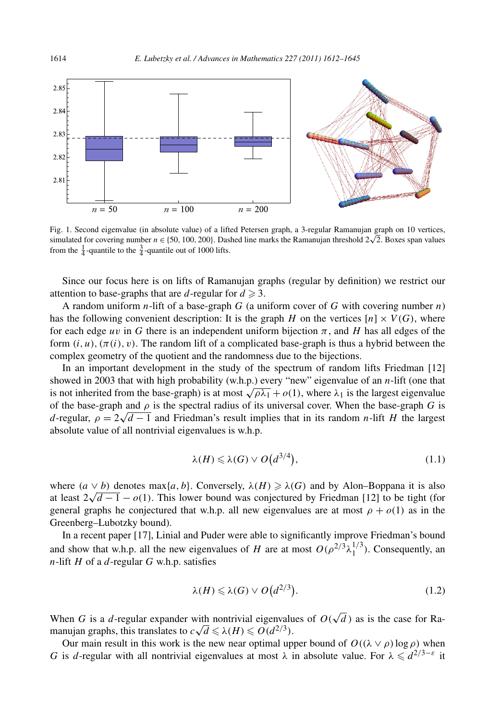

Fig. 1. Second eigenvalue (in absolute value) of a lifted Petersen graph, a 3-regular Ramanujan graph on 10 vertices, simulated for covering number  $n \in \{50, 100, 200\}$ . Dashed line marks the Ramanujan threshold  $2\sqrt{2}$ . Boxes span values from the  $\frac{1}{4}$ -quantile to the  $\frac{3}{4}$ -quantile out of 1000 lifts.

Since our focus here is on lifts of Ramanujan graphs (regular by definition) we restrict our attention to base-graphs that are *d*-regular for  $d \ge 3$ .

A random uniform *n*-lift of a base-graph *G* (a uniform cover of *G* with covering number *n*) has the following convenient description: It is the graph *H* on the vertices  $[n] \times V(G)$ , where for each edge *uv* in *G* there is an independent uniform bijection  $\pi$ , and *H* has all edges of the form  $(i, u)$ ,  $(\pi(i), v)$ . The random lift of a complicated base-graph is thus a hybrid between the complex geometry of the quotient and the randomness due to the bijections.

In an important development in the study of the spectrum of random lifts Friedman [12] showed in 2003 that with high probability (w.h.p.) every "new" eigenvalue of an *n*-lift (one that is not inherited from the base-graph) is at most  $\sqrt{\rho \lambda_1} + o(1)$ , where  $\lambda_1$  is the largest eigenvalue of the base-graph and  $\rho$  is the spectral radius of its universal cover. When the base-graph *G* is *d*-regular,  $\rho = 2\sqrt{d-1}$  and Friedman's result implies that in its random *n*-lift *H* the largest *d*-regular,  $\rho = 2\sqrt{d-1}$  and Friedman's result implies that in its random *n*-lift *H* the largest absolute value of all nontrivial eigenvalues is w.h.p.

$$
\lambda(H) \leqslant \lambda(G) \vee O\big(d^{3/4}\big),\tag{1.1}
$$

where  $(a \vee b)$  denotes max{*a,b*}. Conversely,  $\lambda(H) \geq \lambda(G)$  and by Alon–Boppana it is also at least  $2\sqrt{d-1} - o(1)$ . This lower bound was conjectured by Friedman [12] to be tight (for general graphs he conjectured that w.h.p. all new eigenvalues are at most  $\rho + o(1)$  as in the Greenberg–Lubotzky bound).

In a recent paper [17], Linial and Puder were able to significantly improve Friedman's bound and show that w.h.p. all the new eigenvalues of *H* are at most  $O(\rho^{2/3} \lambda_1^{1/3})$ . Consequently, an *n*-lift *H* of a *d*-regular *G* w.h.p. satisfies

$$
\lambda(H) \leqslant \lambda(G) \vee O\big(d^{2/3}\big). \tag{1.2}
$$

When *G* is a *d*-regular expander with nontrivial eigenvalues of  $O(\sqrt{d})$  as is the case for Rawhen G is a *a*-regular expander with nontrivial eigenvalude manujan graphs, this translates to  $c\sqrt{d} \le \lambda(H) \le O(d^{2/3})$ .

Our main result in this work is the new near optimal upper bound of  $O((\lambda \vee \rho) \log \rho)$  when *G* is *d*-regular with all nontrivial eigenvalues at most  $\lambda$  in absolute value. For  $\lambda \leq d^{2/3-\epsilon}$  it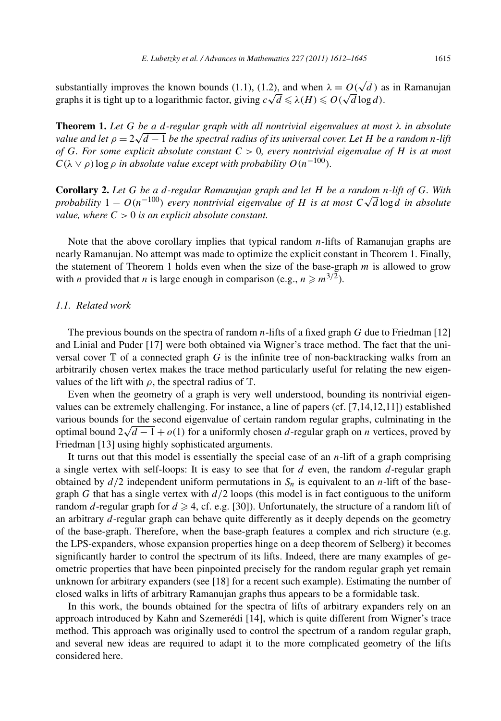substantially improves the known bounds (1.1), (1.2), and when  $\lambda = O(\sqrt{d})$  as in Ramanujan substantially improves the known bounds (1.1), (1.2), and when  $\lambda = O(\sqrt{d})$  a<br>graphs it is tight up to a logarithmic factor, giving  $c\sqrt{d} \le \lambda(H) \le O(\sqrt{d}\log d)$ .

**Theorem 1.** *Let G be a d-regular graph with all nontrivial eigenvalues at most λ in absolute v r* **<b>***c <i>d <i>e d d - <i>e d d - eguiar graph with att nontrivial eigenvalues at most*  $\lambda$  *in absolute value and let*  $\rho = 2\sqrt{d-1}$  *be the spectral radius of its universal of G. For some explicit absolute constant C >* 0*, every nontrivial eigenvalue of H is at most*  $C(\lambda \vee \rho)$  log  $\rho$  *in absolute value except with probability*  $O(n^{-100})$ *.* 

**Corollary 2.** *Let G be a d-regular Ramanujan graph and let H be a random n-lift of G. With probability* 1 − *O(n<sup>−100</sup>) every nontrivial eigenvalue of H is at most*  $C\sqrt{d}$  log *d in absolute probability* 1 − *O(n<sup>−100</sup>) every nontrivial eigenvalue of H is at most*  $C\sqrt{d}$  log *d in absolute value, where C >* 0 *is an explicit absolute constant.*

Note that the above corollary implies that typical random *n*-lifts of Ramanujan graphs are nearly Ramanujan. No attempt was made to optimize the explicit constant in Theorem 1. Finally, the statement of Theorem 1 holds even when the size of the base-graph *m* is allowed to grow with *n* provided that *n* is large enough in comparison (e.g.,  $n \ge m^{3/2}$ ).

#### *1.1. Related work*

The previous bounds on the spectra of random *n*-lifts of a fixed graph *G* due to Friedman [12] and Linial and Puder [17] were both obtained via Wigner's trace method. The fact that the universal cover  $\mathbb T$  of a connected graph *G* is the infinite tree of non-backtracking walks from an arbitrarily chosen vertex makes the trace method particularly useful for relating the new eigenvalues of the lift with  $\rho$ , the spectral radius of  $\mathbb{T}$ .

Even when the geometry of a graph is very well understood, bounding its nontrivial eigenvalues can be extremely challenging. For instance, a line of papers (cf. [7,14,12,11]) established various bounds for the second eigenvalue of certain random regular graphs, culminating in the optimal bound  $2\sqrt{d-1} + o(1)$  for a uniformly chosen *d*-regular graph on *n* vertices, proved by Friedman [13] using highly sophisticated arguments.

It turns out that this model is essentially the special case of an *n*-lift of a graph comprising a single vertex with self-loops: It is easy to see that for *d* even, the random *d*-regular graph obtained by  $d/2$  independent uniform permutations in  $S_n$  is equivalent to an *n*-lift of the basegraph *G* that has a single vertex with  $d/2$  loops (this model is in fact contiguous to the uniform random *d*-regular graph for  $d \ge 4$ , cf. e.g. [30]). Unfortunately, the structure of a random lift of an arbitrary *d*-regular graph can behave quite differently as it deeply depends on the geometry of the base-graph. Therefore, when the base-graph features a complex and rich structure (e.g. the LPS-expanders, whose expansion properties hinge on a deep theorem of Selberg) it becomes significantly harder to control the spectrum of its lifts. Indeed, there are many examples of geometric properties that have been pinpointed precisely for the random regular graph yet remain unknown for arbitrary expanders (see [18] for a recent such example). Estimating the number of closed walks in lifts of arbitrary Ramanujan graphs thus appears to be a formidable task.

In this work, the bounds obtained for the spectra of lifts of arbitrary expanders rely on an approach introduced by Kahn and Szemerédi [14], which is quite different from Wigner's trace method. This approach was originally used to control the spectrum of a random regular graph, and several new ideas are required to adapt it to the more complicated geometry of the lifts considered here.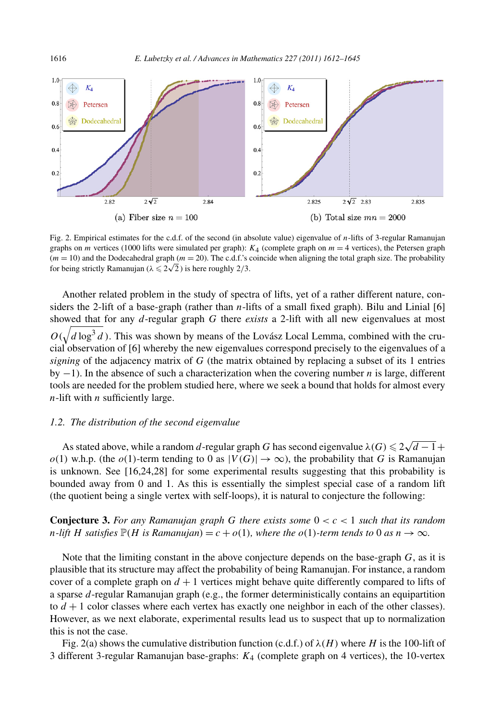

Fig. 2. Empirical estimates for the c.d.f. of the second (in absolute value) eigenvalue of *n*-lifts of 3-regular Ramanujan graphs on *m* vertices (1000 lifts were simulated per graph):  $K_4$  (complete graph on  $m = 4$  vertices), the Petersen graph  $(m = 10)$  and the Dodecahedral graph  $(m = 20)$ . The c.d.f.'s coincide when aligning the total graph size. The probability  $(m = 10)$  and the Dodecahedral graph  $(m = 20)$ . The c.d.f. s of or being strictly Ramanujan ( $\lambda \le 2\sqrt{2}$ ) is here roughly 2/3.

Another related problem in the study of spectra of lifts, yet of a rather different nature, considers the 2-lift of a base-graph (rather than *n*-lifts of a small fixed graph). Bilu and Linial [6] showed that for any *d*-regular graph *G* there *exists* a 2-lift with all new eigenvalues at most  $O(\sqrt{d \log^3 d})$ . This was shown by means of the Lovász Local Lemma, combined with the crucial observation of [6] whereby the new eigenvalues correspond precisely to the eigenvalues of a *signing* of the adjacency matrix of *G* (the matrix obtained by replacing a subset of its 1 entries by −1). In the absence of such a characterization when the covering number *n* is large, different tools are needed for the problem studied here, where we seek a bound that holds for almost every *n*-lift with *n* sufficiently large.

# *1.2. The distribution of the second eigenvalue*

As stated above, while a random *d*-regular graph *G* has second eigenvalue  $\lambda(G) \leqslant 2\sqrt{d-1} + 1$  $o(1)$  w.h.p. (the  $o(1)$ -term tending to 0 as  $|V(G)| \to \infty$ ), the probability that *G* is Ramanujan is unknown. See [16,24,28] for some experimental results suggesting that this probability is bounded away from 0 and 1. As this is essentially the simplest special case of a random lift (the quotient being a single vertex with self-loops), it is natural to conjecture the following:

**Conjecture 3.** *For any Ramanujan graph G there exists some* 0 *<c<* 1 *such that its random n*-lift *H* satisfies  $\mathbb{P}(H$  is Ramanujan $) = c + o(1)$ *, where the*  $o(1)$ *-term tends to* 0 *as*  $n \to \infty$ *.* 

Note that the limiting constant in the above conjecture depends on the base-graph *G*, as it is plausible that its structure may affect the probability of being Ramanujan. For instance, a random cover of a complete graph on  $d + 1$  vertices might behave quite differently compared to lifts of a sparse *d*-regular Ramanujan graph (e.g., the former deterministically contains an equipartition to  $d+1$  color classes where each vertex has exactly one neighbor in each of the other classes). However, as we next elaborate, experimental results lead us to suspect that up to normalization this is not the case.

Fig. 2(a) shows the cumulative distribution function (c.d.f.) of  $\lambda(H)$  where *H* is the 100-lift of 3 different 3-regular Ramanujan base-graphs: *K*<sup>4</sup> (complete graph on 4 vertices), the 10-vertex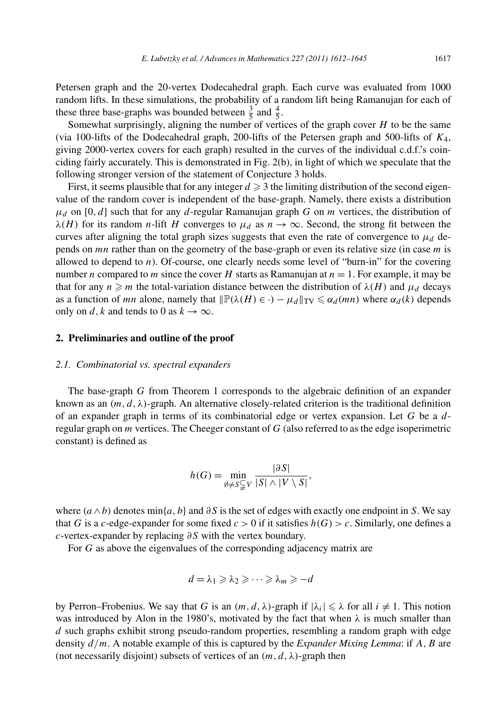Petersen graph and the 20-vertex Dodecahedral graph. Each curve was evaluated from 1000 random lifts. In these simulations, the probability of a random lift being Ramanujan for each of these three base-graphs was bounded between  $\frac{3}{5}$  and  $\frac{4}{5}$ .

Somewhat surprisingly, aligning the number of vertices of the graph cover *H* to be the same (via 100-lifts of the Dodecahedral graph, 200-lifts of the Petersen graph and 500-lifts of *K*4, giving 2000-vertex covers for each graph) resulted in the curves of the individual c.d.f.'s coinciding fairly accurately. This is demonstrated in Fig. 2(b), in light of which we speculate that the following stronger version of the statement of Conjecture 3 holds.

First, it seems plausible that for any integer  $d \geq 3$  the limiting distribution of the second eigenvalue of the random cover is independent of the base-graph. Namely, there exists a distribution  $\mu_d$  on [0, *d*] such that for any *d*-regular Ramanujan graph *G* on *m* vertices, the distribution of *λ*(*H*) for its random *n*-lift *H* converges to  $\mu_d$  as  $n \to \infty$ . Second, the strong fit between the curves after aligning the total graph sizes suggests that even the rate of convergence to  $\mu_d$  depends on *mn* rather than on the geometry of the base-graph or even its relative size (in case *m* is allowed to depend to *n*). Of-course, one clearly needs some level of "burn-in" for the covering number *n* compared to *m* since the cover *H* starts as Ramanujan at *n* = 1. For example, it may be that for any  $n \ge m$  the total-variation distance between the distribution of  $\lambda(H)$  and  $\mu_d$  decays as a function of *mn* alone, namely that  $\|\mathbb{P}(\lambda(H) \in \cdot) - \mu_d\|_{TV} \leq \alpha_d(mn)$  where  $\alpha_d(k)$  depends only on *d*, *k* and tends to 0 as  $k \to \infty$ .

# **2. Preliminaries and outline of the proof**

### *2.1. Combinatorial vs. spectral expanders*

The base-graph *G* from Theorem 1 corresponds to the algebraic definition of an expander known as an  $(m, d, \lambda)$ -graph. An alternative closely-related criterion is the traditional definition of an expander graph in terms of its combinatorial edge or vertex expansion. Let *G* be a *d*regular graph on *m* vertices. The Cheeger constant of *G* (also referred to as the edge isoperimetric constant) is defined as

$$
h(G) = \min_{\emptyset \neq S \subsetneq V} \frac{|\partial S|}{|S| \wedge |V \setminus S|},
$$

where  $(a \wedge b)$  denotes min{*a, b*} and  $\partial S$  is the set of edges with exactly one endpoint in *S*. We say that *G* is a *c*-edge-expander for some fixed  $c > 0$  if it satisfies  $h(G) > c$ . Similarly, one defines a *c*-vertex-expander by replacing *∂S* with the vertex boundary.

For *G* as above the eigenvalues of the corresponding adjacency matrix are

$$
d=\lambda_1\geqslant \lambda_2\geqslant \cdots \geqslant \lambda_m\geqslant -d
$$

by Perron–Frobenius. We say that *G* is an  $(m, d, \lambda)$ -graph if  $|\lambda_i| \leq \lambda$  for all  $i \neq 1$ . This notion was introduced by Alon in the 1980's, motivated by the fact that when  $\lambda$  is much smaller than *d* such graphs exhibit strong pseudo-random properties, resembling a random graph with edge density *d/m*. A notable example of this is captured by the *Expander Mixing Lemma*: if *A,B* are (not necessarily disjoint) subsets of vertices of an  $(m, d, \lambda)$ -graph then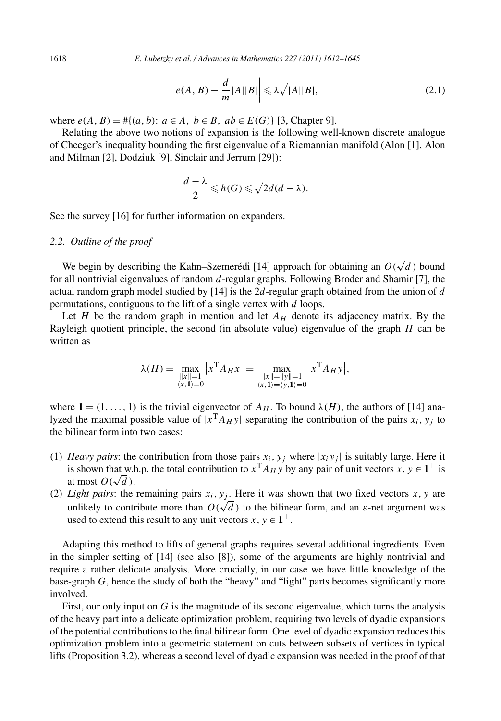$$
\left| e(A, B) - \frac{d}{m} |A||B| \right| \le \lambda \sqrt{|A||B|},\tag{2.1}
$$

where  $e(A, B) = #{(a, b)}$ :  $a \in A, b \in B, ab \in E(G)$  [3, Chapter 9].

Relating the above two notions of expansion is the following well-known discrete analogue of Cheeger's inequality bounding the first eigenvalue of a Riemannian manifold (Alon [1], Alon and Milman [2], Dodziuk [9], Sinclair and Jerrum [29]):

$$
\frac{d-\lambda}{2}\leqslant h(G)\leqslant\sqrt{2d(d-\lambda)}.
$$

See the survey [16] for further information on expanders.

#### *2.2. Outline of the proof*

We begin by describing the Kahn–Szemerédi [14] approach for obtaining an  $O(\sqrt{d})$  bound for all nontrivial eigenvalues of random *d*-regular graphs. Following Broder and Shamir [7], the actual random graph model studied by [14] is the 2*d*-regular graph obtained from the union of *d* permutations, contiguous to the lift of a single vertex with *d* loops.

Let *H* be the random graph in mention and let  $A_H$  denote its adjacency matrix. By the Rayleigh quotient principle, the second (in absolute value) eigenvalue of the graph *H* can be written as

$$
\lambda(H) = \max_{\substack{\|x\|=1\\ \langle x, 1\rangle = 0}} |x^{\mathrm{T}} A_H x| = \max_{\substack{\|x\|= \|y\|=1\\ \langle x, 1\rangle = \langle y, 1\rangle = 0}} |x^{\mathrm{T}} A_H y|,
$$

where  $1 = (1, \ldots, 1)$  is the trivial eigenvector of  $A_H$ . To bound  $\lambda(H)$ , the authors of [14] analyzed the maximal possible value of  $|x^TA_H y|$  separating the contribution of the pairs  $x_i, y_i$  to the bilinear form into two cases:

- (1) *Heavy pairs*: the contribution from those pairs  $x_i$ ,  $y_j$  where  $|x_i y_j|$  is suitably large. Here it is shown that w.h.p. the total contribution to  $x^T A_H y$  by any pair of unit vectors  $x, y \in 1^\perp$  is at most  $O(\sqrt{d})$ .
- (2) *Light pairs*: the remaining pairs  $x_i, y_j$ . Here it was shown that two fixed vectors  $x, y$  are unlikely to contribute more than  $O(\sqrt{d})$  to the bilinear form, and an  $\varepsilon$ -net argument was used to extend this result to any unit vectors *x*,  $y \in 1^{\perp}$ .

Adapting this method to lifts of general graphs requires several additional ingredients. Even in the simpler setting of [14] (see also [8]), some of the arguments are highly nontrivial and require a rather delicate analysis. More crucially, in our case we have little knowledge of the base-graph *G*, hence the study of both the "heavy" and "light" parts becomes significantly more involved.

First, our only input on *G* is the magnitude of its second eigenvalue, which turns the analysis of the heavy part into a delicate optimization problem, requiring two levels of dyadic expansions of the potential contributions to the final bilinear form. One level of dyadic expansion reduces this optimization problem into a geometric statement on cuts between subsets of vertices in typical lifts (Proposition 3.2), whereas a second level of dyadic expansion was needed in the proof of that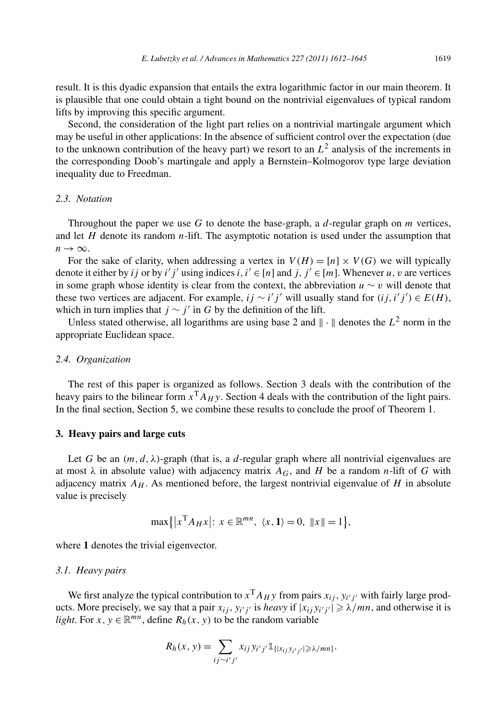result. It is this dyadic expansion that entails the extra logarithmic factor in our main theorem. It is plausible that one could obtain a tight bound on the nontrivial eigenvalues of typical random lifts by improving this specific argument.

Second, the consideration of the light part relies on a nontrivial martingale argument which may be useful in other applications: In the absence of sufficient control over the expectation (due to the unknown contribution of the heavy part) we resort to an  $L^2$  analysis of the increments in the corresponding Doob's martingale and apply a Bernstein–Kolmogorov type large deviation inequality due to Freedman.

# *2.3. Notation*

Throughout the paper we use *G* to denote the base-graph, a *d*-regular graph on *m* vertices, and let *H* denote its random *n*-lift. The asymptotic notation is used under the assumption that  $n \rightarrow \infty$ .

For the sake of clarity, when addressing a vertex in  $V(H) = [n] \times V(G)$  we will typically denote it either by *ij* or by *i' j'* using indices *i*, *i'*  $\in$  [*n*] and *j*, *j'*  $\in$  [*m*]. Whenever *u*, *v* are vertices in some graph whose identity is clear from the context, the abbreviation  $u \sim v$  will denote that these two vertices are adjacent. For example,  $ij \sim i'j'$  will usually stand for  $(ij, i'j') \in E(H)$ , which in turn implies that  $j \sim j'$  in G by the definition of the lift.

Unless stated otherwise, all logarithms are using base 2 and  $\|\cdot\|$  denotes the  $L^2$  norm in the appropriate Euclidean space.

# *2.4. Organization*

The rest of this paper is organized as follows. Section 3 deals with the contribution of the heavy pairs to the bilinear form  $x<sup>T</sup>A<sub>H</sub>$  *y*. Section 4 deals with the contribution of the light pairs. In the final section, Section 5, we combine these results to conclude the proof of Theorem 1.

#### **3. Heavy pairs and large cuts**

Let *G* be an  $(m, d, \lambda)$ -graph (that is, a *d*-regular graph where all nontrivial eigenvalues are at most  $\lambda$  in absolute value) with adjacency matrix  $A_G$ , and *H* be a random *n*-lift of *G* with adjacency matrix  $A_H$ . As mentioned before, the largest nontrivial eigenvalue of  $H$  in absolute value is precisely

$$
\max\{|x^{\mathrm{T}} A_H x|: x \in \mathbb{R}^{mn}, \ \langle x, \mathbf{1}\rangle = 0, \ \|x\| = 1\},\
$$

where 1 denotes the trivial eigenvector.

### *3.1. Heavy pairs*

We first analyze the typical contribution to  $x^T A_H y$  from pairs  $x_{ij}$ ,  $y_{i'j'}$  with fairly large products. More precisely, we say that a pair  $x_{ij}$ ,  $y_{i'j'}$  is *heavy* if  $|x_{ij}y_{i'j'}|\geq \lambda/mn$ , and otherwise it is *light*. For *x*,  $y \in \mathbb{R}^{mn}$ , define  $R_h(x, y)$  to be the random variable

$$
R_h(x, y) = \sum_{ij \sim i'j'} x_{ij} y_{i'j'} \mathbb{1}_{\{|x_{ij}y_{i'j'}| \geq \lambda/mn\}}.
$$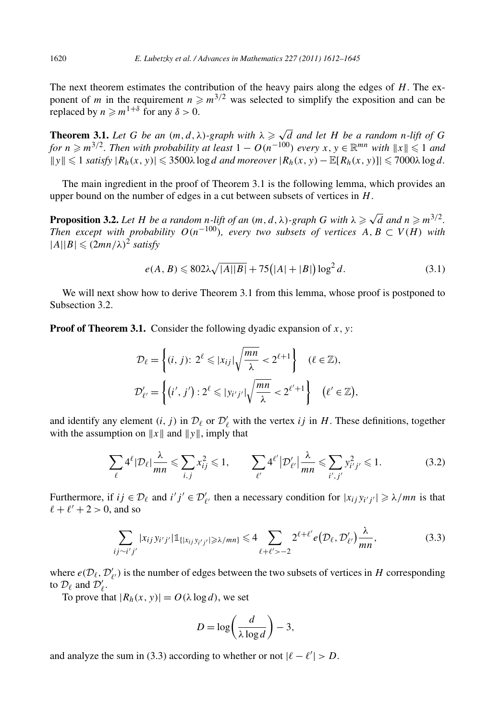The next theorem estimates the contribution of the heavy pairs along the edges of *H*. The exponent of *m* in the requirement  $n \ge m^{3/2}$  was selected to simplify the exposition and can be replaced by  $n \ge m^{1+\delta}$  for any  $\delta > 0$ .

**Theorem 3.1.** *Let G be an*  $(m, d, \lambda)$ *-graph with*  $\lambda \ge \sqrt{d}$  *and let H be a random n-lift of G for*  $n \ge m^{3/2}$ . Then with probability at least  $1 - O(n^{-100})$  every  $x, y \in \mathbb{R}^{mn}$  with  $||x|| \leq 1$  and  $||y|| \le 1$  *satisfy*  $|R_h(x, y)| \le 3500\lambda \log d$  *and moreover*  $|R_h(x, y) - \mathbb{E}[R_h(x, y)]| \le 7000\lambda \log d$ .

The main ingredient in the proof of Theorem 3.1 is the following lemma, which provides an upper bound on the number of edges in a cut between subsets of vertices in *H*.

**Proposition 3.2.** *Let H be a random n-lift of an*  $(m, d, \lambda)$ *-graph G with*  $\lambda \ge \sqrt{d}$  *and*  $n \ge m^{3/2}$ *. Then except with probability*  $O(n^{-100})$ *, every two subsets of vertices*  $A, B \subset V(H)$  *with*  $|A||B| \leq (2mn/\lambda)^2$  *satisfy* 

$$
e(A, B) \le 802\lambda \sqrt{|A||B|} + 75(|A| + |B|) \log^2 d. \tag{3.1}
$$

We will next show how to derive Theorem 3.1 from this lemma, whose proof is postponed to Subsection 3.2.

**Proof of Theorem 3.1.** Consider the following dyadic expansion of  $x$ ,  $y$ :

$$
\mathcal{D}_{\ell} = \left\{ (i, j): 2^{\ell} \leq |x_{ij}| \sqrt{\frac{mn}{\lambda}} < 2^{\ell+1} \right\} \quad (\ell \in \mathbb{Z}),
$$
  

$$
\mathcal{D}'_{\ell'} = \left\{ (i', j') : 2^{\ell} \leq |y_{i'j'}| \sqrt{\frac{mn}{\lambda}} < 2^{\ell'+1} \right\} \quad (\ell' \in \mathbb{Z}),
$$

and identify any element  $(i, j)$  in  $\mathcal{D}_{\ell}$  or  $\mathcal{D}'_{\ell}$  with the vertex *ij* in *H*. These definitions, together with the assumption on  $||x||$  and  $||y||$ , imply that

$$
\sum_{\ell} 4^{\ell} |\mathcal{D}_{\ell}| \frac{\lambda}{mn} \leqslant \sum_{i,j} x_{ij}^2 \leqslant 1, \qquad \sum_{\ell'} 4^{\ell'} |\mathcal{D}'_{\ell'}| \frac{\lambda}{mn} \leqslant \sum_{i',j'} y_{i'j'}^2 \leqslant 1. \tag{3.2}
$$

Furthermore, if  $ij \in \mathcal{D}_\ell$  and  $i'j' \in \mathcal{D}'_{\ell'}$  then a necessary condition for  $|x_{ij}y_{i'j'}| \ge \lambda/mn$  is that  $\ell + \ell' + 2 > 0$ , and so

$$
\sum_{ij \sim i'j'} |x_{ij} y_{i'j'}| \mathbb{1}_{\{|x_{ij} y_{i'j'}| \ge \lambda/mn\}} \le 4 \sum_{\ell + \ell' > -2} 2^{\ell + \ell'} e(\mathcal{D}_{\ell}, \mathcal{D}'_{\ell'}) \frac{\lambda}{mn},
$$
(3.3)

where  $e(D_\ell, D'_{\ell'})$  is the number of edges between the two subsets of vertices in *H* corresponding to  $\mathcal{D}_{\ell}$  and  $\mathcal{D}'_{\ell}$ .

To prove that  $|R_h(x, y)| = O(\lambda \log d)$ , we set

$$
D = \log\left(\frac{d}{\lambda \log d}\right) - 3,
$$

and analyze the sum in (3.3) according to whether or not  $|\ell - \ell'| > D$ .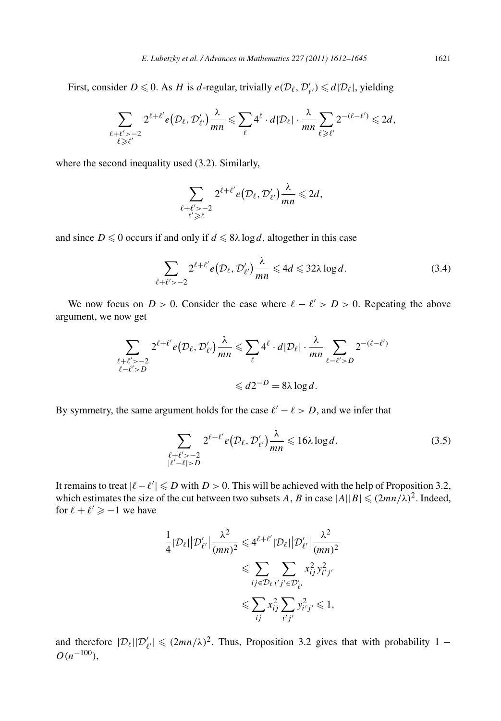First, consider  $D \le 0$ . As *H* is *d*-regular, trivially  $e(D_\ell, D'_{\ell'}) \le d|D_\ell|$ , yielding

$$
\sum_{\substack{\ell+\ell' > -2\\ \ell \geq \ell'}} 2^{\ell+\ell'} e(\mathcal{D}_{\ell}, \mathcal{D}'_{\ell'}) \frac{\lambda}{mn} \leq \sum_{\ell} 4^{\ell} \cdot d|\mathcal{D}_{\ell}| \cdot \frac{\lambda}{mn} \sum_{\ell \geq \ell'} 2^{-(\ell-\ell')} \leq 2d,
$$

where the second inequality used (3.2). Similarly,

$$
\sum_{\substack{\ell+\ell'>-2\\ \ell'\geq \ell}} 2^{\ell+\ell'} e(\mathcal{D}_{\ell}, \mathcal{D}'_{\ell'}) \frac{\lambda}{mn} \leq 2d,
$$

and since  $D \le 0$  occurs if and only if  $d \le 8\lambda \log d$ , altogether in this case

$$
\sum_{\ell+\ell'>-2} 2^{\ell+\ell'} e(\mathcal{D}_{\ell}, \mathcal{D}'_{\ell'}) \frac{\lambda}{mn} \leqslant 4d \leqslant 32\lambda \log d. \tag{3.4}
$$

We now focus on  $D > 0$ . Consider the case where  $\ell - \ell' > D > 0$ . Repeating the above argument, we now get

$$
\sum_{\substack{\ell+\ell' > -2 \\ \ell-\ell' > D}} 2^{\ell+\ell'} e(D_\ell, \mathcal{D}'_{\ell'}) \frac{\lambda}{mn} \leq \sum_{\ell} 4^{\ell} \cdot d|\mathcal{D}_{\ell}| \cdot \frac{\lambda}{mn} \sum_{\ell-\ell' > D} 2^{-(\ell-\ell')}
$$
\n
$$
\leq d2^{-D} = 8\lambda \log d.
$$

By symmetry, the same argument holds for the case  $\ell' - \ell > D$ , and we infer that

$$
\sum_{\substack{\ell+\ell' > -2\\ |\ell'-\ell| > D}} 2^{\ell+\ell'} e(\mathcal{D}_{\ell}, \mathcal{D}'_{\ell'}) \frac{\lambda}{mn} \leqslant 16\lambda \log d. \tag{3.5}
$$

It remains to treat  $|\ell - \ell'| \le D$  with *D* > 0. This will be achieved with the help of Proposition 3.2, which estimates the size of the cut between two subsets *A*, *B* in case  $|A||B| \leq (2mn/\lambda)^2$ . Indeed, for  $\ell + \ell' \geq -1$  we have

$$
\frac{1}{4}|\mathcal{D}_{\ell}||\mathcal{D}'_{\ell'}|\frac{\lambda^2}{(mn)^2} \leq 4^{\ell+\ell'}|\mathcal{D}_{\ell}||\mathcal{D}'_{\ell'}|\frac{\lambda^2}{(mn)^2}
$$

$$
\leq \sum_{ij\in\mathcal{D}_{\ell}}\sum_{i'j'\in\mathcal{D}'_{\ell'}}x_{ij}^2y_{i'j'}^2
$$

$$
\leq \sum_{ij}x_{ij}^2\sum_{i'j'}y_{i'j'}^2 \leq 1,
$$

and therefore  $|\mathcal{D}_{\ell}||\mathcal{D}'_{\ell'}| \leq (2mn/\lambda)^2$ . Thus, Proposition 3.2 gives that with probability 1 – *O(n*−100*)*,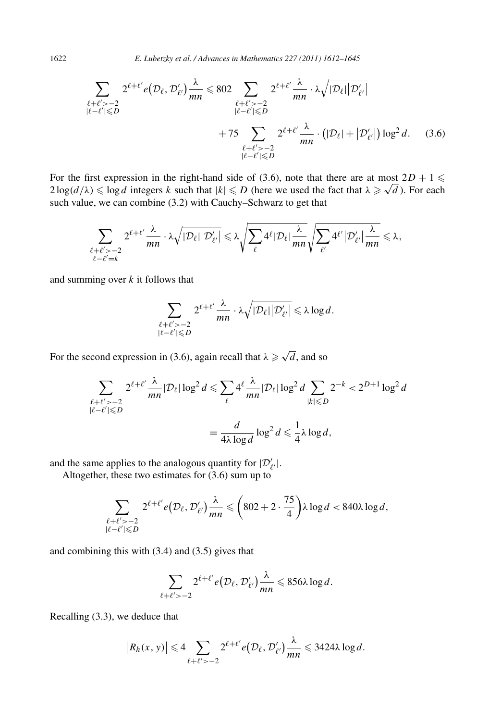1622 *E. Lubetzky et al. / Advances in Mathematics 227 (2011) 1612–1645*

$$
\sum_{\substack{\ell+\ell' > -2 \\ |\ell-\ell'| \leq D}} 2^{\ell+\ell'} e(D_{\ell}, \mathcal{D}'_{\ell'}) \frac{\lambda}{mn} \leq 802 \sum_{\substack{\ell+\ell' > -2 \\ |\ell-\ell'| \leq D}} 2^{\ell+\ell'} \frac{\lambda}{mn} \cdot \lambda \sqrt{|\mathcal{D}_{\ell}| |\mathcal{D}'_{\ell'}|} \\ + 75 \sum_{\substack{\ell+\ell' > -2 \\ |\ell-\ell'| \leq D}} 2^{\ell+\ell'} \frac{\lambda}{mn} \cdot \left( |\mathcal{D}_{\ell}| + |\mathcal{D}'_{\ell'}| \right) \log^2 d. \tag{3.6}
$$

For the first expression in the right-hand side of (3.6), note that there are at most  $2D + 1 \leq$ For the first expression in the right-hand side of (3.6), note that there are at most  $2D + 1 \le 2 \log(d/\lambda) \le \log d$  integers *k* such that  $|k| \le D$  (here we used the fact that  $\lambda \ge \sqrt{d}$ ). For each such value, we can combine (3.2) with Cauchy–Schwarz to get that

$$
\sum_{\substack{\ell+\ell'>-2\\\ell-\ell'=k}}2^{\ell+\ell'}\frac{\lambda}{mn}\cdot\lambda\sqrt{|\mathcal{D}_\ell|\big|\mathcal{D}'_{\ell'}\big|}\leqslant\lambda\sqrt{\sum_{\ell}4^{\ell}|\mathcal{D}_\ell|\frac{\lambda}{mn}}\sqrt{\sum_{\ell'}4^{\ell'}\big|\mathcal{D}'_{\ell'}\big|\frac{\lambda}{mn}}\leqslant\lambda,
$$

and summing over *k* it follows that

$$
\sum_{\substack{\ell+\ell'>-2\\|\ell-\ell'|\leqslant D}}2^{\ell+\ell'}\frac{\lambda}{mn}\cdot\lambda\sqrt{|\mathcal{D}_\ell|\big|\mathcal{D}'_{\ell'}\big|}\leqslant \lambda\log d.
$$

For the second expression in (3.6), again recall that  $\lambda \ge \sqrt{d}$ , and so

$$
\sum_{\substack{\ell+\ell' > -2 \\ |\ell-\ell'| \leq D}} 2^{\ell+\ell'} \frac{\lambda}{mn} |\mathcal{D}_{\ell}| \log^2 d \leq \sum_{\ell} 4^{\ell} \frac{\lambda}{mn} |\mathcal{D}_{\ell}| \log^2 d \sum_{|k| \leq D} 2^{-k} < 2^{D+1} \log^2 d
$$
\n
$$
= \frac{d}{4\lambda \log d} \log^2 d \leq \frac{1}{4} \lambda \log d,
$$

and the same applies to the analogous quantity for  $|\mathcal{D}'_{\ell'}|$ .

Altogether, these two estimates for (3.6) sum up to

$$
\sum_{\substack{\ell+\ell' > -2\\ |\ell-\ell'| \leq D}} 2^{\ell+\ell'} e(D_\ell, \mathcal{D}'_{\ell'}) \frac{\lambda}{mn} \leqslant \left(802 + 2 \cdot \frac{75}{4}\right) \lambda \log d < 840\lambda \log d,
$$

and combining this with (3.4) and (3.5) gives that

$$
\sum_{\ell+\ell'>-2} 2^{\ell+\ell'} e(\mathcal{D}_{\ell}, \mathcal{D}'_{\ell'}) \frac{\lambda}{mn} \leq 856\lambda \log d.
$$

Recalling (3.3), we deduce that

$$
|R_h(x, y)| \leq 4 \sum_{\ell+\ell'>-2} 2^{\ell+\ell'} e(\mathcal{D}_\ell, \mathcal{D}'_{\ell'}) \frac{\lambda}{mn} \leq 3424\lambda \log d.
$$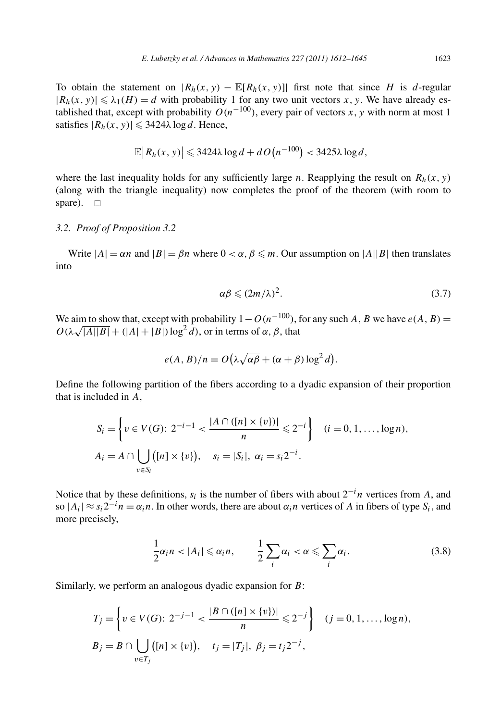To obtain the statement on  $|R_h(x, y) - \mathbb{E}[R_h(x, y)]|$  first note that since *H* is *d*-regular  $|R_h(x, y)| \le \lambda_1(H) = d$  with probability 1 for any two unit vectors *x*, *y*. We have already established that, except with probability  $O(n^{-100})$ , every pair of vectors *x*, y with norm at most 1 satisfies  $|R_h(x, y)| \leq 3424\lambda \log d$ . Hence,

$$
\mathbb{E}\big|R_h(x, y)\big| \leqslant 3424\lambda\log d + d\,O\big(n^{-100}\big) < 3425\lambda\log d,
$$

where the last inequality holds for any sufficiently large *n*. Reapplying the result on  $R_h(x, y)$ (along with the triangle inequality) now completes the proof of the theorem (with room to spare).  $\square$ 

# *3.2. Proof of Proposition 3.2*

Write  $|A| = \alpha n$  and  $|B| = \beta n$  where  $0 < \alpha, \beta \leq m$ . Our assumption on  $|A||B|$  then translates into

$$
\alpha \beta \leqslant (2m/\lambda)^2. \tag{3.7}
$$

We aim to show that, except with probability  $1 - O(n^{-100})$ , for any such *A*, *B* we have  $e(A, B)$  =  $O(\lambda \sqrt{|A||B|} + (|A|+|B|)\log^2 d)$ , or in terms of  $\alpha, \beta$ , that

$$
e(A, B)/n = O(\lambda \sqrt{\alpha \beta} + (\alpha + \beta) \log^2 d).
$$

Define the following partition of the fibers according to a dyadic expansion of their proportion that is included in *A*,

$$
S_i = \left\{ v \in V(G): 2^{-i-1} < \frac{|A \cap ([n] \times \{v\})|}{n} \leq 2^{-i} \right\} \quad (i = 0, 1, \dots, \log n),
$$
\n
$$
A_i = A \cap \bigcup_{v \in S_i} ([n] \times \{v\}), \quad s_i = |S_i|, \ \alpha_i = s_i 2^{-i}.
$$

Notice that by these definitions, *si* is the number of fibers with about 2−*<sup>i</sup> n* vertices from *A*, and so  $|A_i| \approx s_i 2^{-i} n = \alpha_i n$ . In other words, there are about  $\alpha_i n$  vertices of *A* in fibers of type  $S_i$ , and more precisely,

$$
\frac{1}{2}\alpha_i n < |A_i| \leq \alpha_i n, \qquad \frac{1}{2}\sum_i \alpha_i < \alpha \leq \sum_i \alpha_i. \tag{3.8}
$$

Similarly, we perform an analogous dyadic expansion for *B*:

$$
T_j = \left\{ v \in V(G): 2^{-j-1} < \frac{|B \cap ([n] \times \{v\})|}{n} \leq 2^{-j} \right\} \quad (j = 0, 1, \dots, \log n),
$$
\n
$$
B_j = B \cap \bigcup_{v \in T_j} ([n] \times \{v\}), \quad t_j = |T_j|, \ \beta_j = t_j 2^{-j},
$$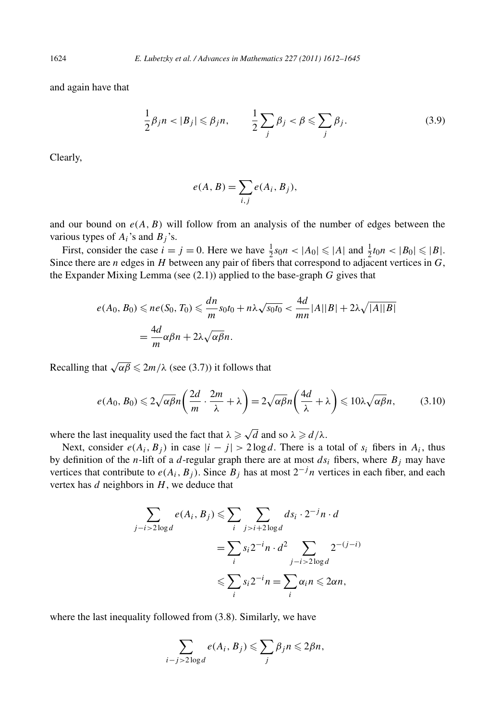and again have that

$$
\frac{1}{2}\beta_j n < |B_j| \leq \beta_j n, \qquad \frac{1}{2}\sum_j \beta_j < \beta \leq \sum_j \beta_j. \tag{3.9}
$$

Clearly,

$$
e(A, B) = \sum_{i,j} e(A_i, B_j),
$$

and our bound on  $e(A, B)$  will follow from an analysis of the number of edges between the various types of  $A_i$ 's and  $B_j$ 's.

First, consider the case  $i = j = 0$ . Here we have  $\frac{1}{2} s_0 n < |A_0| \leq |A|$  and  $\frac{1}{2} t_0 n < |B_0| \leq |B|$ . Since there are *n* edges in *H* between any pair of fibers that correspond to adjacent vertices in *G*, the Expander Mixing Lemma (see (2.1)) applied to the base-graph *G* gives that

$$
e(A_0, B_0) \leqslant ne(S_0, T_0) \leqslant \frac{dn}{m} s_0 t_0 + n\lambda \sqrt{s_0 t_0} < \frac{4d}{mn} |A||B| + 2\lambda \sqrt{|A||B|}
$$
\n
$$
= \frac{4d}{m} \alpha \beta n + 2\lambda \sqrt{\alpha \beta} n.
$$

Recalling that  $\sqrt{\alpha\beta} \leq 2m/\lambda$  (see (3.7)) it follows that

$$
e(A_0, B_0) \leqslant 2\sqrt{\alpha\beta}n\left(\frac{2d}{m}\cdot\frac{2m}{\lambda} + \lambda\right) = 2\sqrt{\alpha\beta}n\left(\frac{4d}{\lambda} + \lambda\right) \leqslant 10\lambda\sqrt{\alpha\beta}n,\tag{3.10}
$$

where the last inequality used the fact that  $\lambda \geq \sqrt{d}$  and so  $\lambda \geq d/\lambda$ .

Next, consider  $e(A_i, B_j)$  in case  $|i - j| > 2 \log d$ . There is a total of  $s_i$  fibers in  $A_i$ , thus by definition of the *n*-lift of a *d*-regular graph there are at most  $ds_i$  fibers, where  $B_j$  may have vertices that contribute to  $e(A_i, B_j)$ . Since  $B_j$  has at most  $2^{-j}n$  vertices in each fiber, and each vertex has *d* neighbors in *H*, we deduce that

$$
\sum_{j-i>2\log d} e(A_i, B_j) \leq \sum_{i} \sum_{j>i+2\log d} ds_i \cdot 2^{-j} n \cdot d
$$

$$
= \sum_{i} s_i 2^{-i} n \cdot d^2 \sum_{j-i>2\log d} 2^{-(j-i)}
$$

$$
\leq \sum_{i} s_i 2^{-i} n = \sum_{i} \alpha_i n \leq 2\alpha n,
$$

where the last inequality followed from (3.8). Similarly, we have

$$
\sum_{i-j>2\log d} e(A_i, B_j) \leqslant \sum_j \beta_j n \leqslant 2\beta n,
$$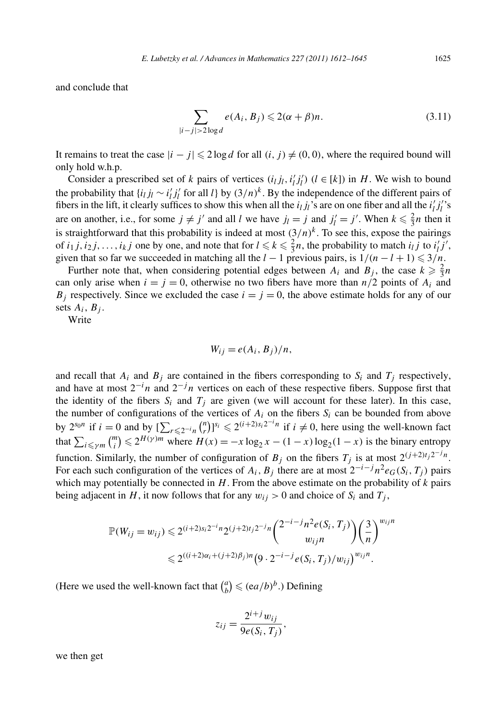and conclude that

$$
\sum_{|i-j|>2\log d} e(A_i, B_j) \leqslant 2(\alpha + \beta)n. \tag{3.11}
$$

It remains to treat the case  $|i - j| \leq 2 \log d$  for all  $(i, j) \neq (0, 0)$ , where the required bound will only hold w.h.p.

Consider a prescribed set of *k* pairs of vertices  $(i_l j_l, i'_l j'_l)$   $(l \in [k])$  in *H*. We wish to bound the probability that  $\{i_l j_l \sim i'_l j'_l \text{ for all } l\}$  by  $(3/n)^k$ . By the independence of the different pairs of fibers in the lift, it clearly suffices to show this when all the  $i_l j_l$ 's are on one fiber and all the  $i'_l j'_l$ 's are on another, i.e., for some  $j \neq j'$  and all *l* we have  $j_l = j$  and  $j'_l = j'$ . When  $k \leq \frac{2}{3}n$  then it is straightforward that this probability is indeed at most  $(3/n)^k$ . To see this, expose the pairings of  $i_1 j, i_2 j, \ldots, i_k j$  one by one, and note that for  $l \leq k \leq \frac{2}{3}n$ , the probability to match  $i_l j$  to  $i'_l j'$ , given that so far we succeeded in matching all the  $l - 1$  previous pairs, is  $1/(n - l + 1) \leqslant 3/n$ .

Further note that, when considering potential edges between  $A_i$  and  $B_j$ , the case  $k \geq \frac{2}{3}n$ can only arise when  $i = j = 0$ , otherwise no two fibers have more than  $n/2$  points of  $A_i$  and  $B_i$  respectively. Since we excluded the case  $i = j = 0$ , the above estimate holds for any of our sets  $A_i$ ,  $B_j$ .

Write

 $W_{ij} = e(A_i, B_j)/n$ ,

and recall that  $A_i$  and  $B_j$  are contained in the fibers corresponding to  $S_i$  and  $T_j$  respectively, and have at most 2−*<sup>i</sup> n* and 2<sup>−</sup>*jn* vertices on each of these respective fibers. Suppose first that the identity of the fibers  $S_i$  and  $T_j$  are given (we will account for these later). In this case, the number of configurations of the vertices of  $A_i$  on the fibers  $S_i$  can be bounded from above by  $2^{s_0 n}$  if  $i = 0$  and by  $\sum_{r \leq 2^{-i} n} {n \choose r}$  $\binom{n}{r}$ ]<sup>*si*</sup>  $\leq 2^{(i+2)s_i 2^{-i}n}$  if  $i \neq 0$ , here using the well-known fact that  $\sum_{i \le \gamma m} \binom{m}{i}$  $\binom{n}{i} \le 2^{H(\gamma)m}$  where  $H(x) = -x \log_2 x - (1 - x) \log_2(1 - x)$  is the binary entropy function. Similarly, the number of configuration of  $B_j$  on the fibers  $T_j$  is at most  $2^{(j+2)t_j 2^{-j}n}$ . For each such configuration of the vertices of  $A_i$ ,  $B_j$  there are at most  $2^{-i-j}n^2e_G(S_i, T_j)$  pairs which may potentially be connected in *H*. From the above estimate on the probability of *k* pairs being adjacent in *H*, it now follows that for any  $w_{ij} > 0$  and choice of  $S_i$  and  $T_j$ ,

$$
\mathbb{P}(W_{ij} = w_{ij}) \leq 2^{(i+2)s_i 2^{-i}n} 2^{(j+2)t_j 2^{-j}n} {2^{-i-j}n^2 e(S_i, T_j) \choose w_{ij}n} {3 \choose n}^{w_{ij}n}
$$
  

$$
\leq 2^{((i+2)\alpha_i + (j+2)\beta_j)n} (9 \cdot 2^{-i-j} e(S_i, T_j) / w_{ij})^{w_{ij}n}.
$$

(Here we used the well-known fact that  $\binom{a}{b}$  $\binom{a}{b} \leqslant (ea/b)^b$ .) Defining

$$
z_{ij} = \frac{2^{i+j} w_{ij}}{9e(S_i, T_j)},
$$

we then get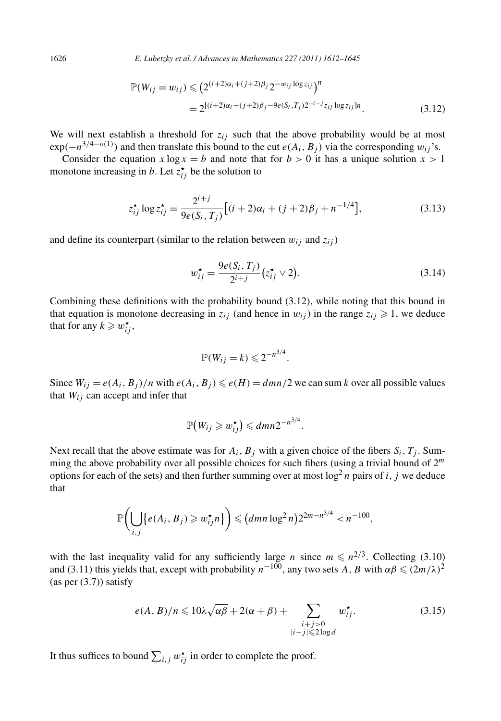1626 *E. Lubetzky et al. / Advances in Mathematics 227 (2011) 1612–1645*

$$
\mathbb{P}(W_{ij} = w_{ij}) \leq (2^{(i+2)\alpha_i + (j+2)\beta_j} 2^{-w_{ij} \log z_{ij}})^n
$$
  
= 2<sup>[(i+2)\alpha\_i + (j+2)\beta\_j - 9e(S\_i, T\_j)2^{-i-j} z\_{ij} \log z\_{ij}]n. (3.12)</sup>

We will next establish a threshold for  $z_{ij}$  such that the above probability would be at most  $\exp(-n^{3/4-o(1)})$  and then translate this bound to the cut  $e(A_i, B_j)$  via the corresponding  $w_{ij}$ 's.

Consider the equation  $x \log x = b$  and note that for  $b > 0$  it has a unique solution  $x > 1$ monotone increasing in *b*. Let  $z_{ij}^{\star}$  be the solution to

$$
z_{ij}^{\star} \log z_{ij}^{\star} = \frac{2^{i+j}}{9e(S_i, T_j)} [(i+2)\alpha_i + (j+2)\beta_j + n^{-1/4}], \tag{3.13}
$$

and define its counterpart (similar to the relation between  $w_{ij}$  and  $z_{ij}$ )

$$
w_{ij}^* = \frac{9e(S_i, T_j)}{2^{i+j}}(z_{ij}^* \vee 2). \tag{3.14}
$$

Combining these definitions with the probability bound (3.12), while noting that this bound in that equation is monotone decreasing in  $z_{ij}$  (and hence in  $w_{ij}$ ) in the range  $z_{ij} \ge 1$ , we deduce that for any  $k \geq w_{ij}^{\star}$ ,

$$
\mathbb{P}(W_{ij}=k)\leqslant 2^{-n^{3/4}}.
$$

Since  $W_{ij} = e(A_i, B_j)/n$  with  $e(A_i, B_j) \le e(H) = \frac{dmn}{2}$  we can sum *k* over all possible values that  $W_{ij}$  can accept and infer that

$$
\mathbb{P}(W_{ij} \geqslant w_{ij}^{\star}) \leqslant dmn2^{-n^{3/4}}.
$$

Next recall that the above estimate was for  $A_i$ ,  $B_j$  with a given choice of the fibers  $S_i$ ,  $T_j$ . Summing the above probability over all possible choices for such fibers (using a trivial bound of 2*<sup>m</sup>* options for each of the sets) and then further summing over at most  $\log^2 n$  pairs of *i*, *j* we deduce that

$$
\mathbb{P}\bigg(\bigcup_{i,j}\big\{e(A_i,B_j)\geqslant w_{ij}^{\star}n\big\}\bigg)\leqslant\big(dmn\log^2n\big)2^{2m-n^{3/4}}
$$

with the last inequality valid for any sufficiently large *n* since  $m \le n^{2/3}$ . Collecting (3.10) and (3.11) this yields that, except with probability  $n^{-100}$ , any two sets *A*, *B* with  $\alpha\beta \leq (2m/\lambda)^2$  $(as per (3.7)) satisfy$ 

$$
e(A, B)/n \leq 10\lambda \sqrt{\alpha \beta} + 2(\alpha + \beta) + \sum_{\substack{i+j>0\\|i-j|\leq 2\log d}} w_{ij}^*.
$$
 (3.15)

It thus suffices to bound  $\sum_{i,j} w_{ij}^{\star}$  in order to complete the proof.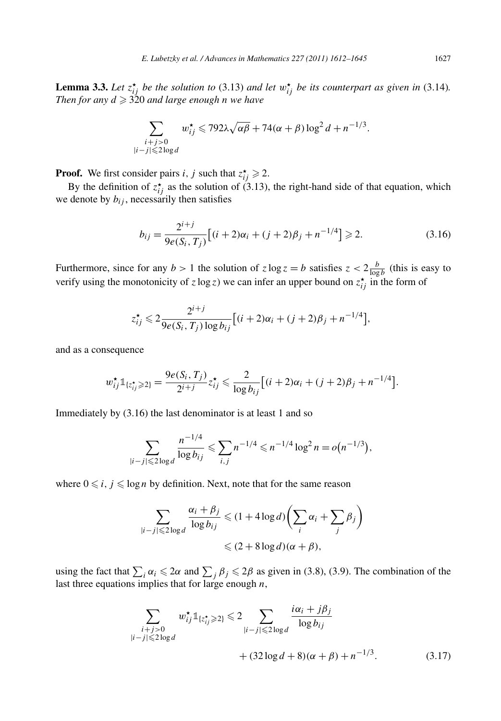**Lemma 3.3.** Let  $z_{ij}^{\star}$  be the solution to (3.13) and let  $w_{ij}^{\star}$  be its counterpart as given in (3.14). *Then for any*  $d \ge 320$  *and large enough n we have* 

$$
\sum_{\substack{i+j>0\\|i-j|\leqslant 2\log d}} w_{ij}^{\star} \leqslant 792\lambda \sqrt{\alpha\beta} + 74(\alpha+\beta)\log^2 d + n^{-1/3}.
$$

**Proof.** We first consider pairs *i*, *j* such that  $z_{ij}^{\star} \ge 2$ .

By the definition of  $z_{ij}^{\star}$  as the solution of (3.13), the right-hand side of that equation, which we denote by  $b_{ij}$ , necessarily then satisfies

$$
b_{ij} = \frac{2^{i+j}}{9e(S_i, T_j)} [(i+2)\alpha_i + (j+2)\beta_j + n^{-1/4}] \ge 2.
$$
 (3.16)

Furthermore, since for any  $b > 1$  the solution of  $z \log z = b$  satisfies  $z < 2 \frac{b}{\log b}$  (this is easy to verify using the monotonicity of  $z \log z$ ) we can infer an upper bound on  $z_{ij}^*$  in the form of

$$
z_{ij}^{\star} \leq 2 \frac{2^{i+j}}{9e(S_i, T_j) \log b_{ij}} \Big[ (i+2)\alpha_i + (j+2)\beta_j + n^{-1/4} \Big],
$$

and as a consequence

$$
w_{ij}^{\star} \mathbb{1}_{\{z_{ij}^{\star} \geq 2\}} = \frac{9e(S_i, T_j)}{2^{i+j}} z_{ij}^{\star} \leq \frac{2}{\log b_{ij}} \big[ (i+2)\alpha_i + (j+2)\beta_j + n^{-1/4} \big].
$$

Immediately by (3.16) the last denominator is at least 1 and so

$$
\sum_{|i-j| \leqslant 2\log d} \frac{n^{-1/4}}{\log b_{ij}} \leqslant \sum_{i,j} n^{-1/4} \leqslant n^{-1/4} \log^2 n = o\big(n^{-1/3}\big),
$$

where  $0 \leq i, j \leq \log n$  by definition. Next, note that for the same reason

$$
\sum_{|i-j| \leqslant 2 \log d} \frac{\alpha_i + \beta_j}{\log b_{ij}} \leqslant (1 + 4 \log d) \left( \sum_i \alpha_i + \sum_j \beta_j \right)
$$
  
\$\leqslant (2 + 8 \log d)(\alpha + \beta),\$

using the fact that  $\sum_i \alpha_i \leq 2\alpha$  and  $\sum_j \beta_j \leq 2\beta$  as given in (3.8), (3.9). The combination of the last three equations implies that for large enough *n*,

$$
\sum_{\substack{i+j>0\\|i-j|\le 2\log d}} w_{ij}^{\star} \mathbb{1}_{\{z_{ij}^{\star}\ge 2\}} \le 2 \sum_{\substack{|i-j|\le 2\log d\\|i-j|\le 2\log d}} \frac{i\alpha_i + j\beta_j}{\log b_{ij}} + (32\log d + 8)(\alpha + \beta) + n^{-1/3}.
$$
 (3.17)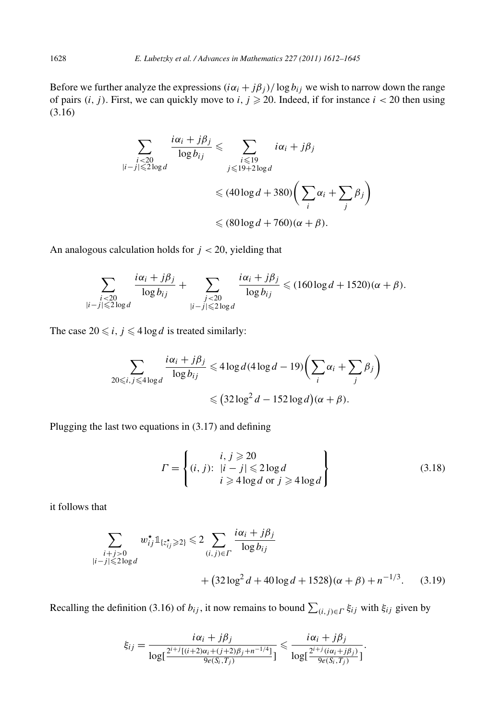Before we further analyze the expressions  $(i\alpha_i + j\beta_j)/\log b_{ij}$  we wish to narrow down the range of pairs  $(i, j)$ . First, we can quickly move to  $i, j \ge 20$ . Indeed, if for instance  $i < 20$  then using (3.16)

$$
\sum_{\substack{i < 20 \\ |i - j| \le 2 \log d}} \frac{i\alpha_i + j\beta_j}{\log b_{ij}} \le \sum_{\substack{i \le 19 \\ j \le 19 + 2 \log d}} i\alpha_i + j\beta_j
$$
\n
$$
\le (40 \log d + 380) \left( \sum_i \alpha_i + \sum_j \beta_j \right)
$$
\n
$$
\le (80 \log d + 760)(\alpha + \beta).
$$

An analogous calculation holds for *j <* 20, yielding that

$$
\sum_{\substack{i < 20 \\ |i-j| \leqslant 2\log d}} \frac{i\alpha_i + j\beta_j}{\log b_{ij}} + \sum_{\substack{j < 20 \\ |i-j| \leqslant 2\log d}} \frac{i\alpha_i + j\beta_j}{\log b_{ij}} \leqslant (160\log d + 1520)(\alpha + \beta).
$$

The case  $20 \le i, j \le 4 \log d$  is treated similarly:

$$
\sum_{20 \le i, j \le 4 \log d} \frac{i\alpha_i + j\beta_j}{\log b_{ij}} \le 4 \log d (4 \log d - 19) \left( \sum_i \alpha_i + \sum_j \beta_j \right)
$$
  

$$
\le (32 \log^2 d - 152 \log d)(\alpha + \beta).
$$

Plugging the last two equations in (3.17) and defining

$$
\Gamma = \left\{ (i, j): \begin{array}{l} i, j \geqslant 20 \\ |i - j| \leqslant 2 \log d \\ i \geqslant 4 \log d \text{ or } j \geqslant 4 \log d \end{array} \right\} \tag{3.18}
$$

it follows that

$$
\sum_{\substack{i+j>0\\|i-j|\le 2\log d}} w_{ij}^* 1_{\{z_{ij}^*\ge 2\}} \le 2 \sum_{(i,j)\in \Gamma} \frac{i\alpha_i + j\beta_j}{\log b_{ij}}
$$
  
+  $(32\log^2 d + 40\log d + 1528)(\alpha + \beta) + n^{-1/3}$ . (3.19)

Recalling the definition (3.16) of  $b_{ij}$ , it now remains to bound  $\sum_{(i,j)\in\Gamma} \xi_{ij}$  with  $\xi_{ij}$  given by

$$
\xi_{ij} = \frac{i\alpha_i + j\beta_j}{\log[\frac{2^{i+j}[(i+2)\alpha_i + (j+2)\beta_j + n^{-1/4}]}{9e(S_i, T_j)}]} \leq \frac{i\alpha_i + j\beta_j}{\log[\frac{2^{i+j}(i\alpha_i + j\beta_j)}{9e(S_i, T_j)}]}.
$$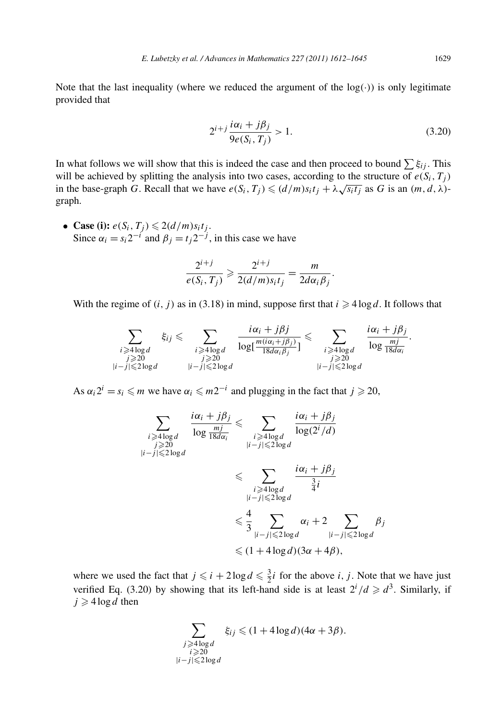Note that the last inequality (where we reduced the argument of the  $log(·)$ ) is only legitimate provided that

$$
2^{i+j} \frac{i\alpha_i + j\beta_j}{9e(S_i, T_j)} > 1.
$$
\n(3.20)

In what follows we will show that this is indeed the case and then proceed to bound  $\sum \xi_{ij}$ . This will be achieved by splitting the analysis into two cases, according to the structure of  $e(S_i, T_j)$ in the base-graph *G*. Recall that we have  $e(S_i, T_j) \leq (d/m)s_i t_j + \lambda \sqrt{s_i t_j}$  as *G* is an  $(m, d, \lambda)$ graph.

• **Case (i):**  $e(S_i, T_j) \leq 2(d/m)s_it_j$ . Since  $\alpha_i = s_i 2^{-i}$  and  $\beta_j = t_j 2^{-j}$ , in this case we have

$$
\frac{2^{i+j}}{e(S_i, T_j)} \geqslant \frac{2^{i+j}}{2(d/m)s_it_j} = \frac{m}{2d\alpha_i\beta_j}.
$$

With the regime of  $(i, j)$  as in (3.18) in mind, suppose first that  $i \geq 4 \log d$ . It follows that

$$
\sum_{\substack{i \geqslant 4 \log d \\ j \geqslant 20 \\ |i - j| \leqslant 2 \log d}} \xi_{ij} \leqslant \sum_{\substack{i \geqslant 4 \log d \\ j \geqslant 20 \\ |i - j| \leqslant 2 \log d}} \frac{i\alpha_i + j\beta_j}{\log[\frac{m(i\alpha_i + j\beta_j)}{\log \frac{m(i\alpha_i + j\beta_j)}{\log \frac{m}{\log \frac{m}{\log \frac{m}{\log \frac{m}{\log \frac{m}{\log \frac{m}{\log \frac{m}{\log \frac{m}{\log \frac{m}{\log \frac{m}{\log \frac{m}{\log \frac{m}{\log \frac{m}{\log \frac{m}{\log \frac{m}{\log \frac{m}{\log \frac{m}{\log \frac{m}{\log \frac{m}{\log \frac{m}{\log \frac{m}{\log \frac{m}{\log \frac{m}{\log \frac{m}{\log \frac{m}{\log \frac{m}{\log \frac{m}{\log \frac{m}{\log \frac{m}{\log \frac{m}{\log \frac{m}{\log \frac{m}{\log \frac{m}{\log \frac{m}{\log \frac{m}{\log \frac{m}{\log \frac{m}{\log \frac{m}{\log \frac{m}{\log \frac{m}{\log \frac{m}{\log \frac{m}{\log \frac{m}{\log \frac{m}{\log \frac{m}{\log \frac{m}{\log \frac{m}{\log \frac{m}{\log \frac{m}{\log \frac{m}{\log \frac{m}{\log \frac{m}{\log \frac{m}{\log \frac{m}{\log \frac{m}{\log \frac{m}{\log \frac{m}{\log \frac{m}{\log \frac{m}{\log \frac{m}{\log \frac{m}{\log \frac{m}{\log \frac{m}{\log \frac{m}{\log \frac{m}{\log \frac{m}{\log \frac{m}{\log \frac{m}{\log \frac{m}{\log \frac{m}{\log \frac{m}{\log \frac{m}{\log \frac{m}{\log \frac{m}{\log \frac{m}{\log \frac{m}{\log \frac{m}{\log \frac{m}{\log \frac{m}{\log \frac{m}{\log \frac{m}{\log \frac{m}{\log \frac{m}{\log \frac{m}{\log \frac{m}{\log \frac{m}{\log \frac{m}{\log \frac{m}{\log
$$

As  $\alpha_i 2^i = s_i \le m$  we have  $\alpha_i \le m2^{-i}$  and plugging in the fact that  $j \ge 20$ ,

$$
\sum_{\substack{i \geqslant 4 \log d \\ |i - j| \leqslant 2 \log d}} \frac{i\alpha_i + j\beta_j}{\log \frac{mj}{18d\alpha_i}} \leqslant \sum_{\substack{i \geqslant 4 \log d \\ |i - j| \leqslant 2 \log d \\ |i - j| \leqslant 2 \log d}} \frac{i\alpha_i + j\beta_j}{\log(2^i / d)}
$$
\n
$$
\leqslant \sum_{\substack{i \geqslant 4 \log d \\ |i - j| \leqslant 2 \log d \\ \leqslant 4}} \frac{i\alpha_i + j\beta_j}{\frac{3}{4}i}
$$
\n
$$
\leqslant \frac{4}{3} \sum_{\substack{|i - j| \leqslant 2 \log d \\ |i - j| \leqslant 2 \log d \\ \leqslant 4}} \alpha_i + 2 \sum_{\substack{|i - j| \leqslant 2 \log d \\ |i - j| \leqslant 2 \log d}} \beta_j
$$

where we used the fact that  $j \leq i + 2 \log d \leq \frac{3}{2}i$  for the above *i*, *j*. Note that we have just verified Eq. (3.20) by showing that its left-hand side is at least  $2^{i}/d \geq d^{3}$ . Similarly, if  $j \geqslant 4 \log d$  then

$$
\sum_{\substack{j \geq 4 \log d \\ i \geq 20}} \xi_{ij} \leq (1 + 4 \log d)(4\alpha + 3\beta).
$$
  

$$
|i - j| \leq 2 \log d
$$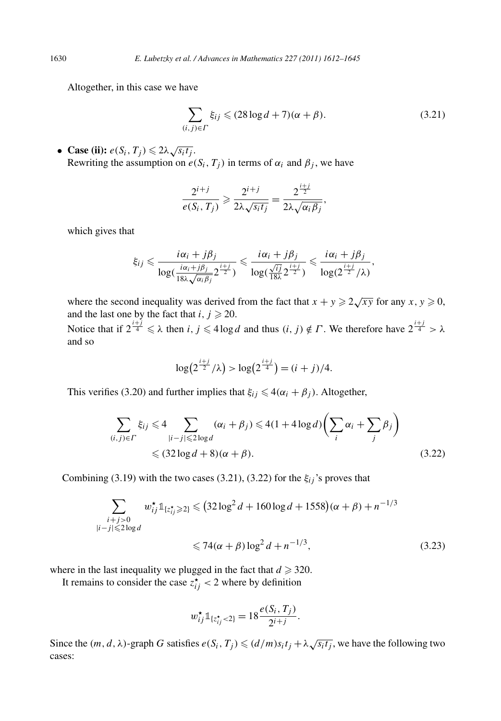Altogether, in this case we have

$$
\sum_{(i,j)\in\Gamma} \xi_{ij} \leqslant (28\log d + 7)(\alpha + \beta). \tag{3.21}
$$

• **Case (ii):**  $e(S_i, T_j) \leq 2\lambda \sqrt{s_i t_j}$ . Rewriting the assumption on  $e(S_i, T_j)$  in terms of  $\alpha_i$  and  $\beta_j$ , we have

$$
\frac{2^{i+j}}{e(S_i, T_j)} \geqslant \frac{2^{i+j}}{2\lambda\sqrt{s_i t_j}} = \frac{2^{\frac{i+j}{2}}}{2\lambda\sqrt{\alpha_i \beta_j}},
$$

which gives that

$$
\xi_{ij} \leqslant \frac{i\alpha_i + j\beta_j}{\log(\frac{i\alpha_i + j\beta_j}{18\lambda\sqrt{\alpha_i\beta_j}}2^{\frac{i+j}{2}})} \leqslant \frac{i\alpha_i + j\beta_j}{\log(\frac{\sqrt{ij}}{18\lambda}2^{\frac{i+j}{2}})} \leqslant \frac{i\alpha_i + j\beta_j}{\log(2^{\frac{i+j}{2}}/\lambda)},
$$

where the second inequality was derived from the fact that  $x + y \ge 2\sqrt{xy}$  for any  $x, y \ge 0$ , and the last one by the fact that *i*,  $j \ge 20$ . Notice that if  $2^{\frac{i+j}{4}} \le \lambda$  then *i*,  $j \le 4 \log d$  and thus  $(i, j) \notin \Gamma$ . We therefore have  $2^{\frac{i+j}{4}} > \lambda$ and so

$$
\log(2^{\frac{i+j}{2}}/\lambda) > \log(2^{\frac{i+j}{4}}) = (i+j)/4.
$$

This verifies (3.20) and further implies that  $\xi_{ij} \leq 4(\alpha_i + \beta_j)$ . Altogether,

$$
\sum_{(i,j)\in\Gamma} \xi_{ij} \leq 4 \sum_{|i-j|\leqslant 2\log d} (\alpha_i + \beta_j) \leq 4(1 + 4\log d) \left( \sum_i \alpha_i + \sum_j \beta_j \right)
$$
  
 
$$
\leq (32\log d + 8)(\alpha + \beta).
$$
 (3.22)

Combining (3.19) with the two cases (3.21), (3.22) for the  $\xi_{ij}$ 's proves that

$$
\sum_{\substack{i+j>0\\|i-j|\le 2\log d}} w_{ij}^{\star} \mathbb{1}_{\{z_{ij}^{\star}\ge 2\}} \le (32\log^2 d + 160\log d + 1558)(\alpha + \beta) + n^{-1/3}
$$
  

$$
\le 74(\alpha + \beta)\log^2 d + n^{-1/3}, \tag{3.23}
$$

where in the last inequality we plugged in the fact that  $d \geq 320$ .

It remains to consider the case  $z_{ij}^* < 2$  where by definition

$$
w_{ij}^{\star} \mathbb{1}_{\{z_{ij}^{\star} < 2\}} = 18 \frac{e(S_i, T_j)}{2^{i+j}}.
$$

Since the  $(m, d, \lambda)$ -graph *G* satisfies  $e(S_i, T_j) \leq d/m s_i t_j + \lambda \sqrt{s_i t_j}$ , we have the following two cases: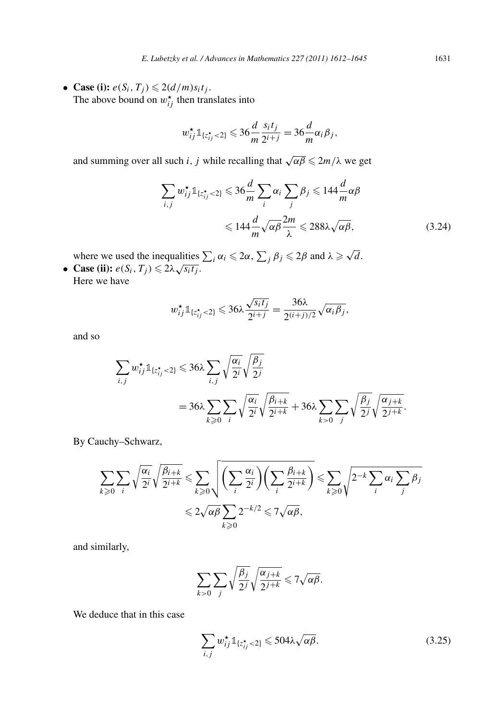• **Case (i):**  $e(S_i, T_j) \leq 2(d/m)s_it_j$ . The above bound on  $w_{ij}^*$  then translates into

$$
w_{ij}^{\star}\mathbb{1}_{\lbrace z_{ij}^{\star} < 2 \rbrace} \leqslant 36 \frac{d}{m} \frac{s_i t_j}{2^{i+j}} = 36 \frac{d}{m} \alpha_i \beta_j,
$$

and summing over all such *i*, *j* while recalling that  $\sqrt{\alpha\beta} \leq 2m/\lambda$  we get

$$
\sum_{i,j} w_{ij}^{\star} \mathbb{1}_{\{z_{ij}^{\star} < 2\}} \leqslant 36 \frac{d}{m} \sum_{i} \alpha_{i} \sum_{j} \beta_{j} \leqslant 144 \frac{d}{m} \alpha \beta
$$
\n
$$
\leqslant 144 \frac{d}{m} \sqrt{\alpha \beta} \frac{2m}{\lambda} \leqslant 288 \lambda \sqrt{\alpha \beta},\tag{3.24}
$$

where we used the inequalities  $\sum_i \alpha_i \leq 2\alpha$ ,  $\sum_j \beta_j \leq 2\beta$  and  $\lambda \geq \sqrt{d}$ . • **Case (ii):**  $e(S_i, T_j) \leq 2\lambda \sqrt{s_i t_j}$ .

Here we have

$$
w_{ij}^{\star} \mathbb{1}_{\{z_{ij}^{\star} < 2\}} \leqslant 36\lambda \frac{\sqrt{s_i t_j}}{2^{i+j}} = \frac{36\lambda}{2^{(i+j)/2}} \sqrt{\alpha_i \beta_j},
$$

and so

$$
\sum_{i,j} w_{ij}^* \mathbb{1}_{\{z_{ij}^* < 2\}} \leqslant 36\lambda \sum_{i,j} \sqrt{\frac{\alpha_i}{2^i}} \sqrt{\frac{\beta_j}{2^j}}
$$
\n
$$
= 36\lambda \sum_{k \geqslant 0} \sum_i \sqrt{\frac{\alpha_i}{2^i}} \sqrt{\frac{\beta_{i+k}}{2^{i+k}}} + 36\lambda \sum_{k > 0} \sum_j \sqrt{\frac{\beta_j}{2^j}} \sqrt{\frac{\alpha_{j+k}}{2^{j+k}}}.
$$

By Cauchy–Schwarz,

$$
\sum_{k\geqslant 0} \sum_{i} \sqrt{\frac{\alpha_i}{2^i}} \sqrt{\frac{\beta_{i+k}}{2^{i+k}}} \leqslant \sum_{k\geqslant 0} \sqrt{\left(\sum_{i} \frac{\alpha_i}{2^i}\right) \left(\sum_{i} \frac{\beta_{i+k}}{2^{i+k}}\right)} \leqslant \sum_{k\geqslant 0} \sqrt{2^{-k} \sum_{i} \alpha_i \sum_{j} \beta_j}
$$

$$
\leqslant 2\sqrt{\alpha \beta} \sum_{k\geqslant 0} 2^{-k/2} \leqslant 7\sqrt{\alpha \beta},
$$

and similarly,

$$
\sum_{k>0}\sum_j\sqrt{\frac{\beta_j}{2^j}}\sqrt{\frac{\alpha_{j+k}}{2^{j+k}}}\leqslant 7\sqrt{\alpha\beta}.
$$

We deduce that in this case

$$
\sum_{i,j} w_{ij}^{\star} \mathbb{1}_{\{z_{ij}^{\star} < 2\}} \leqslant 504 \lambda \sqrt{\alpha \beta}.
$$
\n(3.25)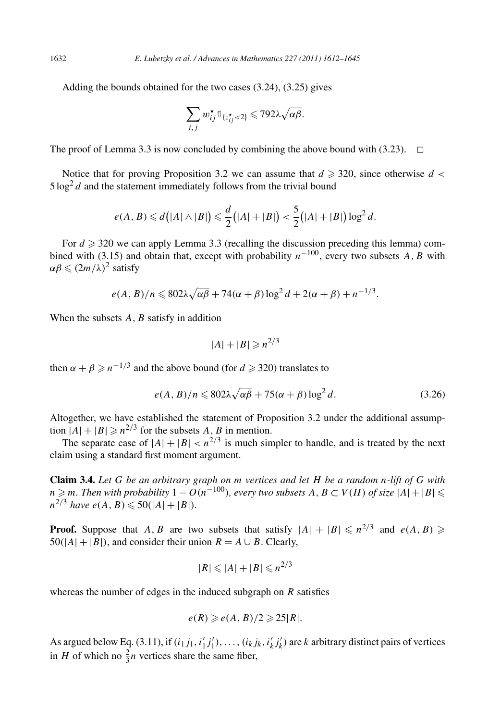Adding the bounds obtained for the two cases (3.24), (3.25) gives

$$
\sum_{i,j} w_{ij}^{\star} \mathbb{1}_{\{z_{ij}^{\star} < 2\}} \leqslant 792 \lambda \sqrt{\alpha \beta}.
$$

The proof of Lemma 3.3 is now concluded by combining the above bound with  $(3.23)$ .  $\Box$ 

Notice that for proving Proposition 3.2 we can assume that  $d \geq 320$ , since otherwise  $d <$  $5 \log^2 d$  and the statement immediately follows from the trivial bound

$$
e(A, B) \le d(|A| \wedge |B|) \le \frac{d}{2}(|A| + |B|) < \frac{5}{2}(|A| + |B|) \log^2 d.
$$

For  $d \geqslant 320$  we can apply Lemma 3.3 (recalling the discussion preceding this lemma) combined with (3.15) and obtain that, except with probability  $n^{-100}$ , every two subsets *A*, *B* with  $\alpha \beta \leqslant (2m/\lambda)^2$  satisfy

$$
e(A, B)/n \leq 802\lambda \sqrt{\alpha\beta} + 74(\alpha + \beta) \log^2 d + 2(\alpha + \beta) + n^{-1/3}.
$$

When the subsets A, B satisfy in addition

$$
|A|+|B|\geqslant n^{2/3}
$$

then  $\alpha + \beta \ge n^{-1/3}$  and the above bound (for  $d \ge 320$ ) translates to

$$
e(A, B)/n \le 802\lambda \sqrt{\alpha \beta} + 75(\alpha + \beta) \log^2 d. \tag{3.26}
$$

Altogether, we have established the statement of Proposition 3.2 under the additional assumption  $|A|+|B| \ge n^{2/3}$  for the subsets *A*, *B* in mention.

The separate case of  $|A| + |B| < n^{2/3}$  is much simpler to handle, and is treated by the next claim using a standard first moment argument.

**Claim 3.4.** *Let G be an arbitrary graph on m vertices and let H be a random n-lift of G with n* ≥ *m. Then with probability*  $1 - O(n^{-100})$ *, every two subsets*  $A, B \subset V(H)$  *of size*  $|A| + |B|$   $\leqslant$  $n^{2/3}$  *have*  $e(A, B) \leq 50(|A|+|B|)$ *.* 

**Proof.** Suppose that *A, B* are two subsets that satisfy  $|A| + |B| \le n^{2/3}$  and  $e(A, B) \ge$  $50(|A|+|B|)$ , and consider their union  $R = A \cup B$ . Clearly,

$$
|R| \leqslant |A| + |B| \leqslant n^{2/3}
$$

whereas the number of edges in the induced subgraph on *R* satisfies

$$
e(R) \geqslant e(A, B)/2 \geqslant 25|R|.
$$

As argued below Eq. (3.11), if  $(i_1j_1, i'_1j'_1), \ldots, (i_kj_k, i'_kj'_k)$  are *k* arbitrary distinct pairs of vertices in *H* of which no  $\frac{2}{3}n$  vertices share the same fiber,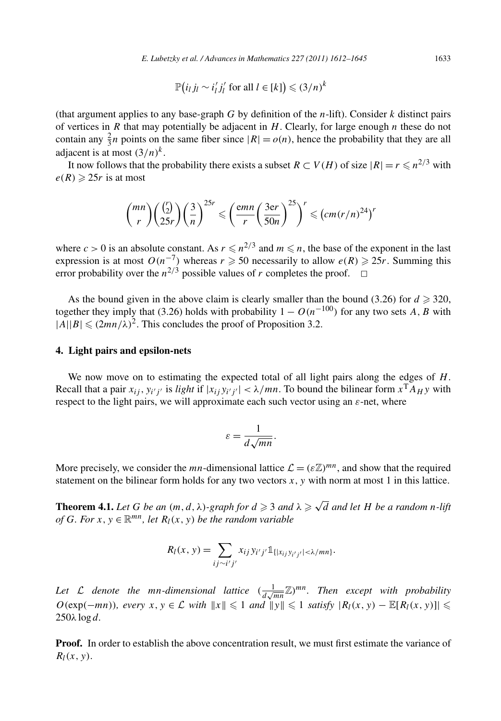$$
\mathbb{P}\big(i_l j_l \sim i'_l j'_l \text{ for all } l \in [k]\big) \leq (3/n)^k
$$

(that argument applies to any base-graph *G* by definition of the *n*-lift). Consider *k* distinct pairs of vertices in *R* that may potentially be adjacent in *H*. Clearly, for large enough *n* these do not contain any  $\frac{2}{3}n$  points on the same fiber since  $|R| = o(n)$ , hence the probability that they are all adjacent is at most  $(3/n)^k$ .

It now follows that the probability there exists a subset  $R \subset V(H)$  of size  $|R| = r \leq n^{2/3}$  with  $e(R) \geq 25r$  is at most

$$
{mn \choose r} \left(\frac{\binom{r}{2}}{25r}\right) \left(\frac{3}{n}\right)^{25r} \leqslant \left(\frac{\text{emn}}{r} \left(\frac{3\text{er}}{50n}\right)^{25}\right)^r \leqslant \left(\text{cm}(r/n)^{24}\right)^r
$$

where  $c > 0$  is an absolute constant. As  $r \leq n^{2/3}$  and  $m \leq n$ , the base of the exponent in the last expression is at most  $O(n^{-7})$  whereas  $r \ge 50$  necessarily to allow  $e(R) \ge 25r$ . Summing this error probability over the  $n^{2/3}$  possible values of *r* completes the proof.  $\Box$ 

As the bound given in the above claim is clearly smaller than the bound (3.26) for  $d \ge 320$ , together they imply that (3.26) holds with probability  $1 - O(n^{-100})$  for any two sets A, B with  $|A||B| \le (2mn/\lambda)^2$ . This concludes the proof of Proposition 3.2.

### **4. Light pairs and epsilon-nets**

We now move on to estimating the expected total of all light pairs along the edges of *H*. Recall that a pair  $x_{ij}$ ,  $y_{i'j'}$  is *light* if  $|x_{ij}y_{i'j'}| < \lambda/mn$ . To bound the bilinear form  $x^T A_H y$  with respect to the light pairs, we will approximate each such vector using an *ε*-net, where

$$
\varepsilon = \frac{1}{d\sqrt{mn}}.
$$

More precisely, we consider the *mn*-dimensional lattice  $\mathcal{L} = (\varepsilon \mathbb{Z})^{mn}$ , and show that the required statement on the bilinear form holds for any two vectors *x*, *y* with norm at most 1 in this lattice.

**Theorem 4.1.** *Let G be an*  $(m, d, \lambda)$ *-graph for*  $d \geq 3$  *and*  $\lambda \geq \sqrt{d}$  *and let H be a random n-lift of G. For*  $x, y \in \mathbb{R}^{mn}$ *, let*  $R_l(x, y)$  *be the random variable* 

$$
R_l(x, y) = \sum_{ij \sim i'j'} x_{ij} y_{i'j'} \mathbb{1}_{\{|x_{ij}y_{i'j'}| < \lambda/mn\}}.
$$

Let L denote the mn-dimensional lattice  $(\frac{1}{d\sqrt{mn}}\mathbb{Z})^{mn}$ . Then except with probability *O*(exp( $-mn$ ))*, every x*, *y* ∈ *L with*  $||x|| \le 1$  *and*  $||y|| \le 1$  *satisfy*  $|R_l(x, y) - \mathbb{E}[R_l(x, y)]|$ 250*λ* log *d.*

**Proof.** In order to establish the above concentration result, we must first estimate the variance of  $R_l(x, y)$ .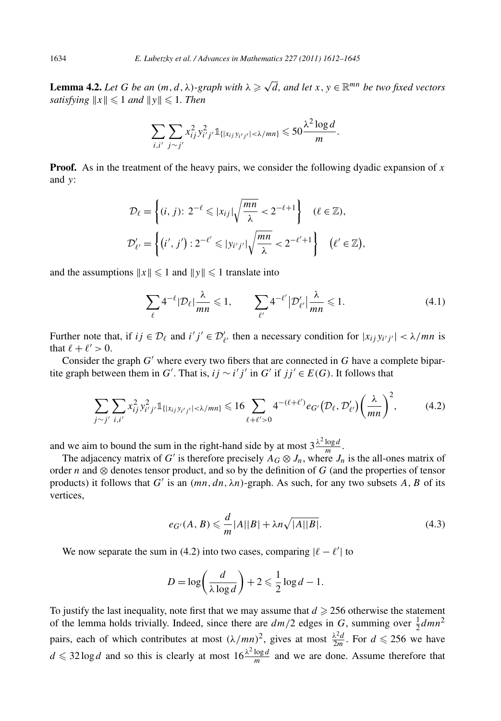**Lemma 4.2.** *Let G be an*  $(m, d, \lambda)$ -graph with  $\lambda \ge \sqrt{d}$ , and let  $x, y \in \mathbb{R}^{mn}$  be two fixed vectors  $satisfying \Vert x \Vert \leq 1 \text{ and } \Vert y \Vert \leq 1.$  Then

$$
\sum_{i,i'} \sum_{j \sim j'} x_{ij}^2 y_{i'j'}^2 1_{\{|x_{ij}y_{i'j'}| < \lambda/mn\}} \leq 50 \frac{\lambda^2 \log d}{m}.
$$

**Proof.** As in the treatment of the heavy pairs, we consider the following dyadic expansion of *x* and *y*:

$$
\mathcal{D}_{\ell} = \left\{ (i, j): 2^{-\ell} \leqslant |x_{ij}| \sqrt{\frac{mn}{\lambda}} < 2^{-\ell+1} \right\} \quad (\ell \in \mathbb{Z}),
$$
\n
$$
\mathcal{D}'_{\ell'} = \left\{ (i', j') : 2^{-\ell'} \leqslant |y_{i'j'}| \sqrt{\frac{mn}{\lambda}} < 2^{-\ell'+1} \right\} \quad (\ell' \in \mathbb{Z}),
$$

and the assumptions  $||x|| \le 1$  and  $||y|| \le 1$  translate into

$$
\sum_{\ell} 4^{-\ell} |\mathcal{D}_{\ell}| \frac{\lambda}{mn} \leqslant 1, \qquad \sum_{\ell'} 4^{-\ell'} |\mathcal{D}'_{\ell'}| \frac{\lambda}{mn} \leqslant 1. \tag{4.1}
$$

Further note that, if  $ij \in \mathcal{D}_\ell$  and  $i'j' \in \mathcal{D}'_{\ell'}$  then a necessary condition for  $|x_{ij} y_{i'j'}| < \lambda/mn$  is that  $\ell + \ell' > 0$ .

Consider the graph  $G'$  where every two fibers that are connected in  $G$  have a complete bipartite graph between them in *G'*. That is,  $ij \sim i'j'$  in *G'* if  $jj' \in E(G)$ . It follows that

$$
\sum_{j\sim j'}\sum_{i,i'} x_{ij}^2 y_{i'j'}^2 \mathbb{1}_{\{|x_{ij}y_{i'j'}| < \lambda/mn\}} \leq 16 \sum_{\ell+\ell'>0} 4^{-(\ell+\ell')} e_{G'}(\mathcal{D}_{\ell}, \mathcal{D}'_{\ell'}) \left(\frac{\lambda}{mn}\right)^2, \tag{4.2}
$$

and we aim to bound the sum in the right-hand side by at most  $3\frac{\lambda^2 \log d}{m}$ .

The adjacency matrix of *G'* is therefore precisely  $A_G \otimes J_n$ , where  $J_n$  is the all-ones matrix of order *n* and ⊗ denotes tensor product, and so by the definition of *G* (and the properties of tensor products) it follows that  $G'$  is an  $(mn, dn, \lambda n)$ -graph. As such, for any two subsets  $A, B$  of its vertices,

$$
e_{G'}(A,B) \leqslant \frac{d}{m}|A||B| + \lambda n \sqrt{|A||B|}.
$$
\n(4.3)

We now separate the sum in (4.2) into two cases, comparing  $|\ell - \ell'|$  to

$$
D = \log\left(\frac{d}{\lambda \log d}\right) + 2 \leqslant \frac{1}{2} \log d - 1.
$$

To justify the last inequality, note first that we may assume that  $d \geq 256$  otherwise the statement of the lemma holds trivially. Indeed, since there are  $dm/2$  edges in *G*, summing over  $\frac{1}{2}dmn^2$ pairs, each of which contributes at most  $(\lambda/mn)^2$ , gives at most  $\frac{\lambda^2 d}{2m}$ . For  $d \le 256$  we have  $d \le 32 \log d$  and so this is clearly at most  $16 \frac{\lambda^2 \log d}{m}$  and we are done. Assume therefore that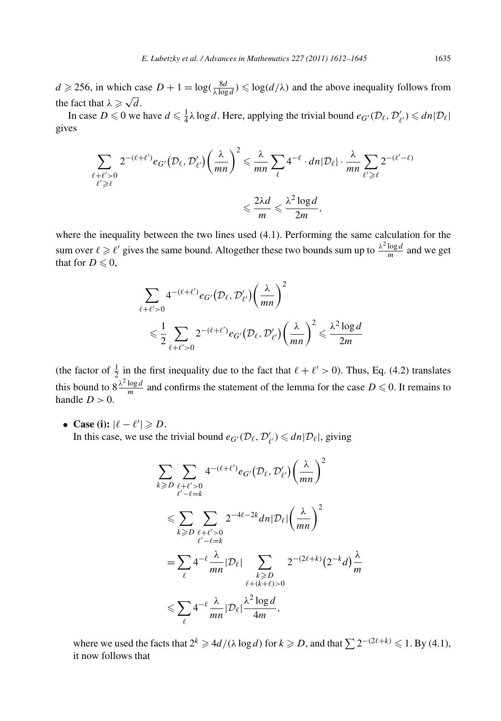$d \ge 256$ , in which case  $D + 1 = \log(\frac{8d}{\lambda \log d}) \le \log(d/\lambda)$  and the above inequality follows from the fact that  $\lambda \geq \sqrt{d}$ .

In case  $D \le 0$  we have  $d \le \frac{1}{4}\lambda \log d$ . Here, applying the trivial bound  $e_{G'}(\mathcal{D}_{\ell}, \mathcal{D}'_{\ell'}) \le d n |\mathcal{D}_{\ell}|$ gives

$$
\sum_{\substack{\ell+\ell' > 0 \\ \ell' \ge \ell}} 2^{-(\ell+\ell')} e_{G'}(\mathcal{D}_{\ell}, \mathcal{D}'_{\ell'}) \left(\frac{\lambda}{mn}\right)^2 \le \frac{\lambda}{mn} \sum_{\ell} 4^{-\ell} \cdot dn |\mathcal{D}_{\ell}| \cdot \frac{\lambda}{mn} \sum_{\ell' \ge \ell} 2^{-(\ell'-\ell)} \le \frac{2\lambda d}{m} \le \frac{\lambda^2 \log d}{2m},
$$

where the inequality between the two lines used (4.1). Performing the same calculation for the sum over  $\ell \ge \ell'$  gives the same bound. Altogether these two bounds sum up to  $\frac{\lambda^2 \log d}{m}$  and we get that for  $D \leqslant 0$ ,

$$
\sum_{\ell+\ell'>0} 4^{-(\ell+\ell')} e_{G'}(\mathcal{D}_{\ell}, \mathcal{D}'_{\ell'}) \left(\frac{\lambda}{mn}\right)^2
$$
  
\$\leqslant \frac{1}{2} \sum\_{\ell+\ell'>0} 2^{-(\ell+\ell')} e\_{G'}(\mathcal{D}\_{\ell}, \mathcal{D}'\_{\ell'}) \left(\frac{\lambda}{mn}\right)^2 \leqslant \frac{\lambda^2 \log d}{2m}\$

(the factor of  $\frac{1}{2}$  in the first inequality due to the fact that  $\ell + \ell' > 0$ ). Thus, Eq. (4.2) translates this bound to  $8\frac{\lambda^2 \log d}{m}$  and confirms the statement of the lemma for the case  $D \le 0$ . It remains to handle  $D > 0$ .

• **Case (i):**  $|\ell - \ell'| \ge D$ .

In this case, we use the trivial bound  $e_{G'}(\mathcal{D}_\ell, \mathcal{D}'_{\ell'}) \leq d_n |\mathcal{D}_\ell|$ , giving

$$
\sum_{k \geq D} \sum_{\substack{\ell+\ell' > 0 \\ \ell' - \ell = k}} 4^{-(\ell+\ell')} e_{G'} (\mathcal{D}_{\ell}, \mathcal{D}'_{\ell'}) \left(\frac{\lambda}{mn}\right)^2
$$
\n
$$
\leqslant \sum_{k \geqslant D} \sum_{\substack{\ell+\ell' > 0 \\ \ell' - \ell = k}} 2^{-4\ell - 2k} dn |\mathcal{D}_{\ell}| \left(\frac{\lambda}{mn}\right)^2
$$
\n
$$
= \sum_{\substack{\ell} \ell} 4^{-\ell} \frac{\lambda}{mn} |\mathcal{D}_{\ell}| \sum_{\substack{k \geqslant D \\ \ell + (k+\ell) > 0}} 2^{-(2\ell+k)} (2^{-k} d) \frac{\lambda}{m}
$$
\n
$$
\leqslant \sum_{\ell} 4^{-\ell} \frac{\lambda}{mn} |\mathcal{D}_{\ell}| \frac{\lambda^2 \log d}{4m},
$$

where we used the facts that  $2^k \ge 4d/(\lambda \log d)$  for  $k \ge 0$ , and that  $\sum 2^{-(2\ell+k)} \le 1$ . By (4.1), it now follows that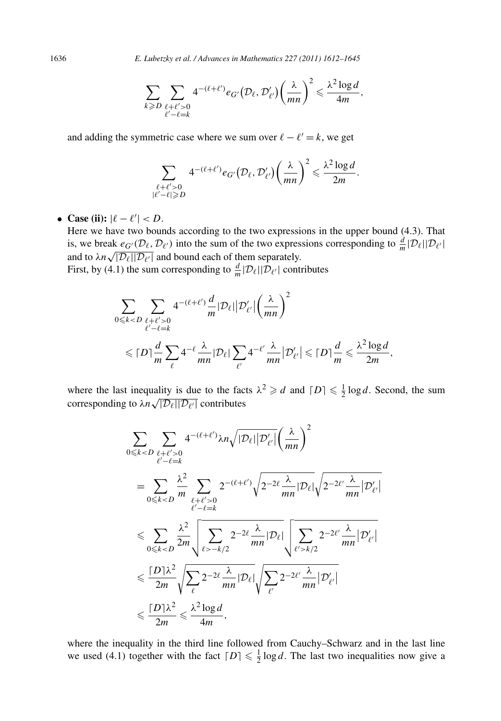$$
\sum_{k\geqslant D}\sum_{\substack{\ell+\ell'>0\\ \ell'-\ell=k}}4^{-(\ell+\ell')}e_{G'}(\mathcal{D}_{\ell},\mathcal{D}'_{\ell'})\left(\frac{\lambda}{mn}\right)^2\leqslant\frac{\lambda^2\log d}{4m},
$$

and adding the symmetric case where we sum over  $\ell - \ell' = k$ , we get

$$
\sum_{\substack{\ell+\ell' > 0 \\ |\ell'-\ell| \geq D}} 4^{-(\ell+\ell')} e_{G'}(\mathcal{D}_{\ell}, \mathcal{D}'_{\ell'}) \left(\frac{\lambda}{mn}\right)^2 \leq \frac{\lambda^2 \log d}{2m}.
$$

• **Case (ii):**  $|\ell - \ell'| < D$ .

Here we have two bounds according to the two expressions in the upper bound (4.3). That is, we break  $e_{G'}(\mathcal{D}_\ell, \mathcal{D}_{\ell'})$  into the sum of the two expressions corresponding to  $\frac{d}{m}|\mathcal{D}_\ell||\mathcal{D}_{\ell'}|$ and to  $\lambda n \sqrt{|\mathcal{D}_{\ell}| |\mathcal{D}_{\ell'}|}$  and bound each of them separately. First, by (4.1) the sum corresponding to  $\frac{d}{m}|\mathcal{D}_{\ell}||\mathcal{D}_{\ell'}|$  contributes

$$
\sum_{0 \leq k < D} \sum_{\substack{\ell + \ell' > 0 \\ \ell' - \ell = k}} 4^{-(\ell + \ell')} \frac{d}{m} |\mathcal{D}_{\ell}| |\mathcal{D}'_{\ell'}| \left(\frac{\lambda}{mn}\right)^2
$$
\n
$$
\leq |D| \frac{d}{m} \sum_{\ell} 4^{-\ell} \frac{\lambda}{mn} |\mathcal{D}_{\ell}| \sum_{\ell'} 4^{-\ell'} \frac{\lambda}{mn} |\mathcal{D}'_{\ell'}| \leq |D| \frac{d}{m} \leq \frac{\lambda^2 \log d}{2m},
$$

where the last inequality is due to the facts  $\lambda^2 \ge d$  and  $[D] \le \frac{1}{2} \log d$ . Second, the sum corresponding to  $\lambda n \sqrt{|\mathcal{D}_\ell||\mathcal{D}_{\ell'}|}$  contributes

$$
\sum_{0 \leq k < D} \sum_{\ell + \ell' > 0} 4^{-(\ell + \ell')} \lambda n \sqrt{|\mathcal{D}_{\ell}| |\mathcal{D}'_{\ell'}|} \left(\frac{\lambda}{mn}\right)^2
$$
\n
$$
= \sum_{0 \leq k < D} \frac{\lambda^2}{m} \sum_{\ell + \ell' > 0} 2^{-(\ell + \ell')} \sqrt{2^{-2\ell} \frac{\lambda}{mn} |\mathcal{D}_{\ell}|} \sqrt{2^{-2\ell'} \frac{\lambda}{mn} |\mathcal{D}'_{\ell'}|}
$$
\n
$$
\leq \sum_{0 \leq k < D} \frac{\lambda^2}{2m} \sqrt{\sum_{\ell > -k/2} 2^{-2\ell} \frac{\lambda}{mn} |\mathcal{D}_{\ell}|} \sqrt{\sum_{\ell' > k/2} 2^{-2\ell'} \frac{\lambda}{mn} |\mathcal{D}'_{\ell'}|}
$$
\n
$$
\leq \frac{[\mathcal{D}] \lambda^2}{2m} \sqrt{\sum_{\ell} 2^{-2\ell} \frac{\lambda}{mn} |\mathcal{D}_{\ell}|} \sqrt{\sum_{\ell'} 2^{-2\ell'} \frac{\lambda}{mn} |\mathcal{D}'_{\ell'}|}
$$
\n
$$
\leq \frac{[\mathcal{D}] \lambda^2}{2m} \leq \frac{\lambda^2 \log d}{4m},
$$

where the inequality in the third line followed from Cauchy–Schwarz and in the last line we used (4.1) together with the fact  $[D] \leq \frac{1}{2} \log d$ . The last two inequalities now give a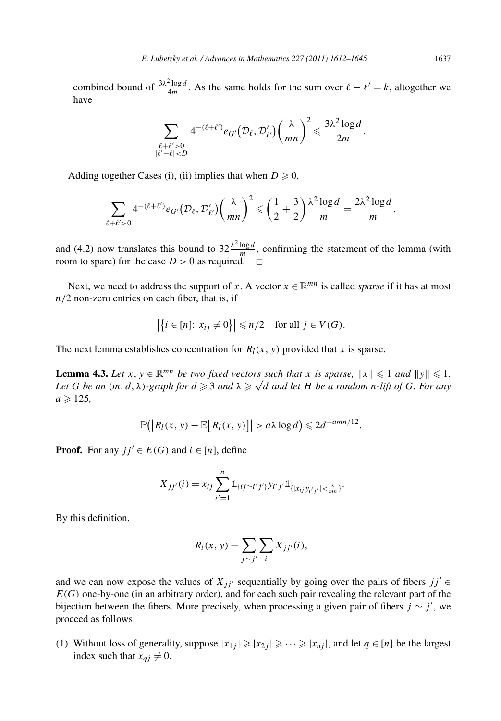combined bound of  $\frac{3\lambda^2 \log d}{4m}$ . As the same holds for the sum over  $\ell - \ell' = k$ , altogether we have

$$
\sum_{\substack{\ell+\ell' > 0\\ |\ell'-\ell| < D}} 4^{-(\ell+\ell')} e_{G'}(\mathcal{D}_{\ell}, \mathcal{D}'_{\ell'}) \left(\frac{\lambda}{mn}\right)^2 \leqslant \frac{3\lambda^2 \log d}{2m}.
$$

Adding together Cases (i), (ii) implies that when  $D \ge 0$ ,

$$
\sum_{\ell+\ell'>0} 4^{-(\ell+\ell')} e_{G'}(\mathcal{D}_{\ell}, \mathcal{D}'_{\ell'}) \left(\frac{\lambda}{mn}\right)^2 \leqslant \left(\frac{1}{2} + \frac{3}{2}\right) \frac{\lambda^2 \log d}{m} = \frac{2\lambda^2 \log d}{m},
$$

and (4.2) now translates this bound to  $32\frac{\lambda^2 \log d}{m}$ , confirming the statement of the lemma (with room to spare) for the case  $D > 0$  as required.  $\square$ 

Next, we need to address the support of *x*. A vector  $x \in \mathbb{R}^{mn}$  is called *sparse* if it has at most *n/*2 non-zero entries on each fiber, that is, if

$$
\left|\left\{i \in [n]: x_{ij} \neq 0\right\}\right| \leq n/2 \quad \text{for all } j \in V(G).
$$

The next lemma establishes concentration for  $R_l(x, y)$  provided that *x* is sparse.

**Lemma 4.3.** *Let*  $x, y \in \mathbb{R}^{mn}$  *be two fixed vectors such that*  $x$  *is sparse,*  $||x|| \le 1$  *and*  $||y|| \le 1$ . *Let G be an*  $(m, d, \lambda)$ *-graph for*  $d \geq 3$  *and*  $\lambda \geq \sqrt{d}$  *and let H be a random n-lift of G. For any*  $a \ge 125$ ,

$$
\mathbb{P}(|R_l(x, y) - \mathbb{E}[R_l(x, y)]| > a\lambda \log d) \leq 2d^{-amn/12}.
$$

**Proof.** For any  $jj' \in E(G)$  and  $i \in [n]$ , define

$$
X_{jj'}(i) = x_{ij} \sum_{i'=1}^{n} \mathbb{1}_{\{ij \sim i'j'\}} y_{i'j'} \mathbb{1}_{\{|x_{ij}y_{i'j'}| < \frac{\lambda}{mn}\}}.
$$

By this definition,

$$
R_l(x, y) = \sum_{j \sim j'} \sum_i X_{jj'}(i),
$$

and we can now expose the values of  $X_{ji'}$  sequentially by going over the pairs of fibers  $jj' \in$  $E(G)$  one-by-one (in an arbitrary order), and for each such pair revealing the relevant part of the bijection between the fibers. More precisely, when processing a given pair of fibers  $j \sim j'$ , we proceed as follows:

(1) Without loss of generality, suppose  $|x_{1j}| \geq |x_{2j}| \geq \cdots \geq |x_{nj}|$ , and let  $q \in [n]$  be the largest index such that  $x_{qj} \neq 0$ .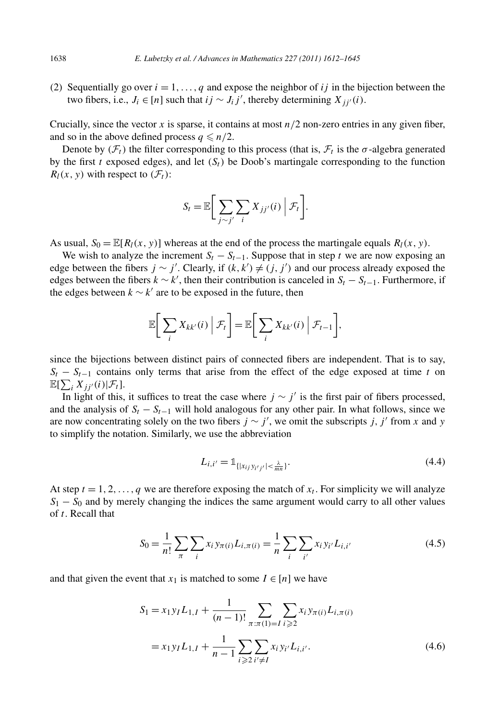(2) Sequentially go over  $i = 1, \ldots, q$  and expose the neighbor of *ij* in the bijection between the two fibers, i.e., *J<sub>i</sub>* ∈ [*n*] such that *ij* ∼ *J<sub>i</sub>j'*, thereby determining  $X_{jj'}(i)$ .

Crucially, since the vector *x* is sparse, it contains at most  $n/2$  non-zero entries in any given fiber, and so in the above defined process  $q \leq n/2$ .

Denote by  $(\mathcal{F}_t)$  the filter corresponding to this process (that is,  $\mathcal{F}_t$  is the  $\sigma$ -algebra generated by the first *t* exposed edges), and let  $(S_t)$  be Doob's martingale corresponding to the function  $R_l(x, y)$  with respect to  $(\mathcal{F}_t)$ :

$$
S_t = \mathbb{E}\bigg[\sum_{j\sim j'} \sum_i X_{jj'}(i) \mid \mathcal{F}_t\bigg].
$$

As usual,  $S_0 = \mathbb{E}[R_l(x, y)]$  whereas at the end of the process the martingale equals  $R_l(x, y)$ .

We wish to analyze the increment  $S_t - S_{t-1}$ . Suppose that in step *t* we are now exposing an edge between the fibers  $j \sim j'$ . Clearly, if  $(k, k') \neq (j, j')$  and our process already exposed the edges between the fibers  $k \sim k'$ , then their contribution is canceled in  $S_t - S_{t-1}$ . Furthermore, if the edges between  $k \sim k'$  are to be exposed in the future, then

$$
\mathbb{E}\bigg[\sum_{i} X_{kk'}(i) \mid \mathcal{F}_t\bigg] = \mathbb{E}\bigg[\sum_{i} X_{kk'}(i) \mid \mathcal{F}_{t-1}\bigg],
$$

since the bijections between distinct pairs of connected fibers are independent. That is to say,  $S_t - S_{t-1}$  contains only terms that arise from the effect of the edge exposed at time *t* on  $\mathbb{E}[\sum_i X_{jj'}(i)|\mathcal{F}_t].$ 

In light of this, it suffices to treat the case where  $j \sim j'$  is the first pair of fibers processed, and the analysis of  $S_t - S_{t-1}$  will hold analogous for any other pair. In what follows, since we are now concentrating solely on the two fibers  $j \sim j'$ , we omit the subscripts *j*, *j'* from *x* and *y* to simplify the notation. Similarly, we use the abbreviation

$$
L_{i,i'} = \mathbb{1}_{\{|x_{ij}, y_{i'j'}| < \frac{\lambda}{mn}\}}.\tag{4.4}
$$

At step  $t = 1, 2, \ldots, q$  we are therefore exposing the match of  $x_t$ . For simplicity we will analyze  $S_1 - S_0$  and by merely changing the indices the same argument would carry to all other values of *t*. Recall that

$$
S_0 = \frac{1}{n!} \sum_{\pi} \sum_{i} x_i y_{\pi(i)} L_{i, \pi(i)} = \frac{1}{n} \sum_{i} \sum_{i'} x_i y_{i'} L_{i, i'}
$$
(4.5)

and that given the event that  $x_1$  is matched to some  $I \in [n]$  we have

$$
S_1 = x_1 y_I L_{1,I} + \frac{1}{(n-1)!} \sum_{\pi : \pi(1) = I} \sum_{i \geqslant 2} x_i y_{\pi(i)} L_{i,\pi(i)}
$$
  
=  $x_1 y_I L_{1,I} + \frac{1}{n-1} \sum_{i \geqslant 2} \sum_{i' \neq I} x_i y_{i'} L_{i,i'}$ . (4.6)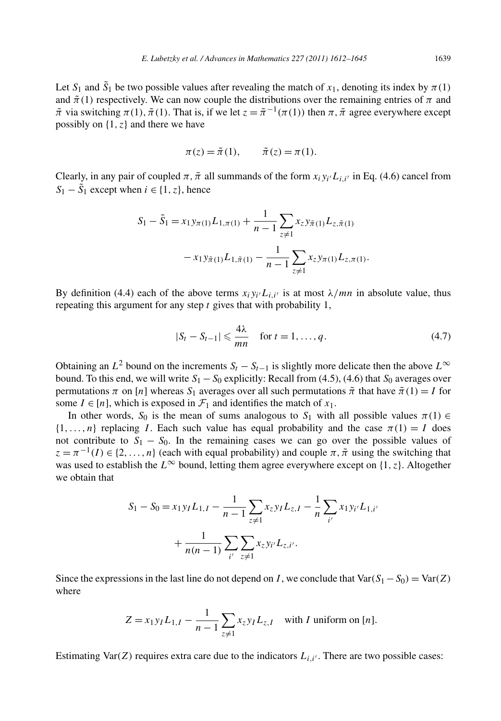Let  $S_1$  and  $\tilde{S}_1$  be two possible values after revealing the match of  $x_1$ , denoting its index by  $\pi(1)$ and  $\tilde{\pi}(1)$  respectively. We can now couple the distributions over the remaining entries of  $\pi$  and  $\tilde{\pi}$  via switching  $\pi(1), \tilde{\pi}(1)$ . That is, if we let  $z = \tilde{\pi}^{-1}(\pi(1))$  then  $\pi, \tilde{\pi}$  agree everywhere except possibly on  $\{1, z\}$  and there we have

$$
\pi(z) = \tilde{\pi}(1), \qquad \tilde{\pi}(z) = \pi(1).
$$

Clearly, in any pair of coupled  $\pi$ ,  $\tilde{\pi}$  all summands of the form  $x_iy_i/L_i$  is Eq. (4.6) cancel from  $S_1 - \tilde{S}_1$  except when  $i \in \{1, z\}$ , hence

$$
S_1 - \tilde{S}_1 = x_1 y_{\pi(1)} L_{1,\pi(1)} + \frac{1}{n-1} \sum_{z \neq 1} x_z y_{\tilde{\pi}(1)} L_{z,\tilde{\pi}(1)}
$$

$$
- x_1 y_{\tilde{\pi}(1)} L_{1,\tilde{\pi}(1)} - \frac{1}{n-1} \sum_{z \neq 1} x_z y_{\pi(1)} L_{z,\pi(1)}.
$$

By definition (4.4) each of the above terms  $x_i y_{i'} L_{i,i'}$  is at most  $\lambda/mn$  in absolute value, thus repeating this argument for any step *t* gives that with probability 1,

$$
|S_t - S_{t-1}| \leq \frac{4\lambda}{mn} \quad \text{for } t = 1, \dots, q. \tag{4.7}
$$

Obtaining an  $L^2$  bound on the increments  $S_t - S_{t-1}$  is slightly more delicate then the above  $L^{\infty}$ bound. To this end, we will write  $S_1 - S_0$  explicitly: Recall from (4.5), (4.6) that  $S_0$  averages over permutations  $\pi$  on [*n*] whereas  $S_1$  averages over all such permutations  $\tilde{\pi}$  that have  $\tilde{\pi}(1) = I$  for some  $I \in [n]$ , which is exposed in  $\mathcal{F}_1$  and identifies the match of  $x_1$ .

In other words,  $S_0$  is the mean of sums analogous to  $S_1$  with all possible values  $\pi(1) \in$  $\{1, \ldots, n\}$  replacing *I*. Each such value has equal probability and the case  $\pi(1) = I$  does not contribute to  $S_1 - S_0$ . In the remaining cases we can go over the possible values of  $z = \pi^{-1}(I) \in \{2, ..., n\}$  (each with equal probability) and couple  $\pi, \tilde{\pi}$  using the switching that was used to establish the  $L^{\infty}$  bound, letting them agree everywhere except on {1, *z*}. Altogether we obtain that

$$
S_1 - S_0 = x_1 y_I L_{1,I} - \frac{1}{n-1} \sum_{z \neq 1} x_z y_I L_{z,I} - \frac{1}{n} \sum_{i'} x_1 y_{i'} L_{1,i'}
$$

$$
+ \frac{1}{n(n-1)} \sum_{i'} \sum_{z \neq 1} x_z y_{i'} L_{z,i'}.
$$

Since the expressions in the last line do not depend on *I*, we conclude that  $Var(S_1 - S_0) = Var(Z)$ where

$$
Z = x_1 y_I L_{1,I} - \frac{1}{n-1} \sum_{z \neq 1} x_z y_I L_{z,I}
$$
 with *I* uniform on [*n*].

Estimating Var $(Z)$  requires extra care due to the indicators  $L_{i,i'}$ . There are two possible cases: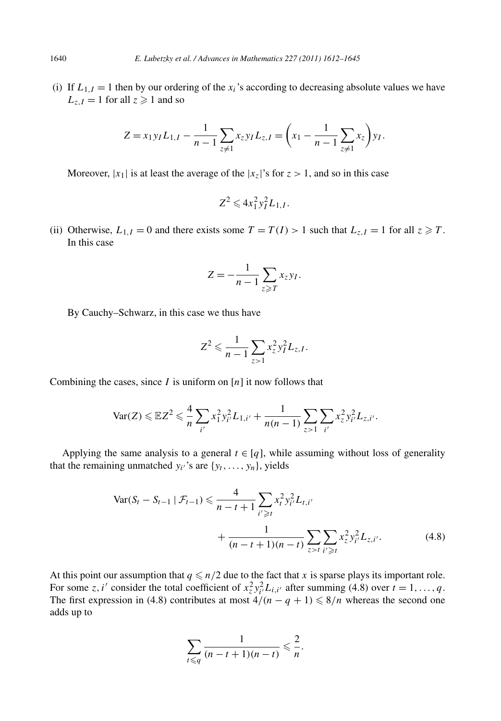(i) If  $L_{1,I} = 1$  then by our ordering of the  $x_i$ 's according to decreasing absolute values we have  $L_{z,I} = 1$  for all  $z \ge 1$  and so

$$
Z = x_1 y_I L_{1,I} - \frac{1}{n-1} \sum_{z \neq 1} x_z y_I L_{z,I} = \left( x_1 - \frac{1}{n-1} \sum_{z \neq 1} x_z \right) y_I.
$$

Moreover,  $|x_1|$  is at least the average of the  $|x_7|$ 's for  $z > 1$ , and so in this case

$$
Z^2 \leqslant 4x_1^2y_I^2L_{1,I}.
$$

(ii) Otherwise,  $L_{1,I} = 0$  and there exists some  $T = T(I) > 1$  such that  $L_{z,I} = 1$  for all  $z \ge T$ . In this case

$$
Z=-\frac{1}{n-1}\sum_{z\geqslant T}x_{z}y_{I}.
$$

By Cauchy–Schwarz, in this case we thus have

$$
Z^2 \leqslant \frac{1}{n-1} \sum_{z>1} x_z^2 y_I^2 L_{z,I}.
$$

Combining the cases, since *I* is uniform on [*n*] it now follows that

$$
\text{Var}(Z) \leqslant \mathbb{E}Z^2 \leqslant \frac{4}{n}\sum_{i'} x_1^2 y_{i'}^2 L_{1,i'} + \frac{1}{n(n-1)} \sum_{z>1} \sum_{i'} x_z^2 y_{i'}^2 L_{z,i'}.
$$

Applying the same analysis to a general  $t \in [q]$ , while assuming without loss of generality that the remaining unmatched  $y_i$ 's are  $\{y_t, \ldots, y_n\}$ , yields

$$
\operatorname{Var}(S_t - S_{t-1} | \mathcal{F}_{t-1}) \leq \frac{4}{n - t + 1} \sum_{i' \geq t} x_i^2 y_{i'}^2 L_{t,i'}
$$
  
+ 
$$
\frac{1}{(n - t + 1)(n - t)} \sum_{z > t} \sum_{i' \geq t} x_z^2 y_{i'}^2 L_{z,i'}.
$$
(4.8)

At this point our assumption that  $q \leq n/2$  due to the fact that *x* is sparse plays its important role. For some *z*, *i'* consider the total coefficient of  $x_z^2 y_{i'}^2 L_{i,i'}$  after summing (4.8) over  $t = 1, ..., q$ . The first expression in (4.8) contributes at most  $4/(n - q + 1) \le 8/n$  whereas the second one adds up to

$$
\sum_{t\leq q}\frac{1}{(n-t+1)(n-t)}\leqslant\frac{2}{n}.
$$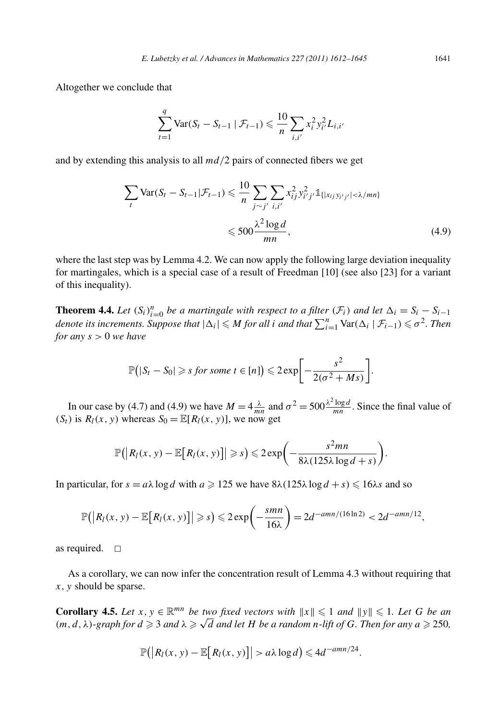Altogether we conclude that

$$
\sum_{t=1}^{q} \text{Var}(S_t - S_{t-1} | \mathcal{F}_{t-1}) \leq \frac{10}{n} \sum_{i,i'} x_i^2 y_{i'}^2 L_{i,i'}
$$

and by extending this analysis to all *md/*2 pairs of connected fibers we get

$$
\sum_{t} \text{Var}(S_t - S_{t-1}|\mathcal{F}_{t-1}) \leq \frac{10}{n} \sum_{j \sim j'} \sum_{i,i'} x_{ij}^2 y_{i'j'}^2 \mathbb{1}_{\{|x_{ij}y_{i'j'}| < \lambda/mn\}}
$$
  

$$
\leq 500 \frac{\lambda^2 \log d}{mn},
$$
 (4.9)

where the last step was by Lemma 4.2. We can now apply the following large deviation inequality for martingales, which is a special case of a result of Freedman [10] (see also [23] for a variant of this inequality).

**Theorem 4.4.** Let  $(S_i)_{i=0}^n$  be a martingale with respect to a filter  $(F_i)$  and let  $\Delta_i = S_i - S_{i-1}$ *denote its increments. Suppose that*  $|\Delta_i| \leq M$  *for all i and that*  $\sum_{i=1}^n \text{Var}(\Delta_i | \mathcal{F}_{i-1}) \leq \sigma^2$ . Then *for any s >* 0 *we have*

$$
\mathbb{P}\big(|S_t - S_0| \geq s \text{ for some } t \in [n]\big) \leq 2 \exp\bigg[-\frac{s^2}{2(\sigma^2 + Ms)}\bigg].
$$

In our case by (4.7) and (4.9) we have  $M = 4 \frac{\lambda}{mn}$  and  $\sigma^2 = 500 \frac{\lambda^2 \log d}{mn}$ . Since the final value of  $(S_t)$  is  $R_l(x, y)$  whereas  $S_0 = \mathbb{E}[R_l(x, y)]$ , we now get

$$
\mathbb{P}\big(\big|R_l(x, y) - \mathbb{E}\big[R_l(x, y)\big]\big| \geqslant s\big) \leqslant 2\exp\bigg(-\frac{s^2mn}{8\lambda(125\lambda\log d + s)}\bigg).
$$

In particular, for  $s = a\lambda \log d$  with  $a \ge 125$  we have  $8\lambda(125\lambda \log d + s) \le 16\lambda s$  and so

$$
\mathbb{P}\big(\big|R_l(x,\,y)-\mathbb{E}\big[R_l(x,\,y)\big]\big|\geqslant s\big)\leqslant 2\exp\bigg(-\frac{smn}{16\lambda}\bigg)=2d^{-amn/(16\ln 2)}<2d^{-amn/12},
$$

as required.  $\square$ 

As a corollary, we can now infer the concentration result of Lemma 4.3 without requiring that *x,y* should be sparse.

**Corollary 4.5.** Let  $x, y \in \mathbb{R}^{mn}$  be two fixed vectors with  $||x|| \leq 1$  and  $||y|| \leq 1$ . Let G be an  $(m, d, \lambda)$ *-graph for*  $d \ge 3$  *and*  $\lambda \ge \sqrt{d}$  *and let H be a random n*-lift of *G. Then for any*  $a \ge 250$ *,* 

$$
\mathbb{P}(|R_l(x, y) - \mathbb{E}[R_l(x, y)]| > a\lambda \log d) \leq 4d^{-amn/24}.
$$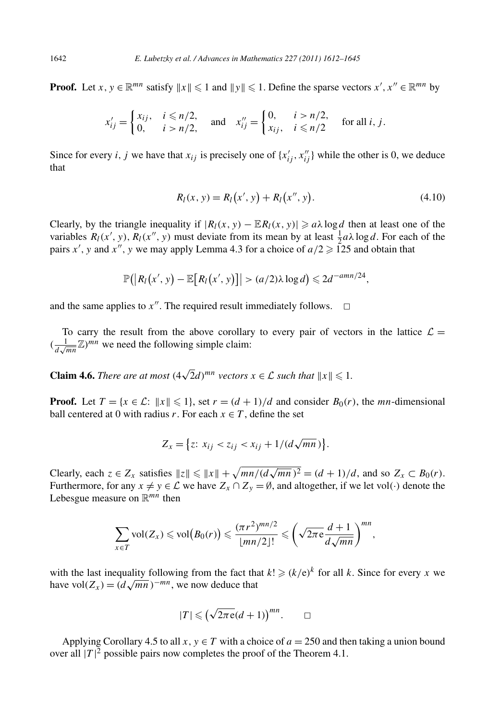**Proof.** Let *x*,  $y \in \mathbb{R}^{mn}$  satisfy  $||x|| \le 1$  and  $||y|| \le 1$ . Define the sparse vectors  $x', x'' \in \mathbb{R}^{mn}$  by

$$
x'_{ij} = \begin{cases} x_{ij}, & i \le n/2, \\ 0, & i > n/2, \end{cases} \quad \text{and} \quad x''_{ij} = \begin{cases} 0, & i > n/2, \\ x_{ij}, & i \le n/2, \end{cases} \quad \text{for all } i, j.
$$

Since for every *i*, *j* we have that  $x_{ij}$  is precisely one of  $\{x'_{ij}, x''_{ij}\}$  while the other is 0, we deduce that

$$
R_l(x, y) = R_l(x', y) + R_l(x'', y).
$$
\n(4.10)

Clearly, by the triangle inequality if  $|R_l(x, y) - \mathbb{E} R_l(x, y)| \ge a\lambda \log d$  then at least one of the variables  $R_l(x', y)$ ,  $R_l(x'', y)$  must deviate from its mean by at least  $\frac{1}{2}a\lambda \log d$ . For each of the pairs *x'*, *y* and *x''*, *y* we may apply Lemma 4.3 for a choice of  $a/2 \ge 125$  and obtain that

$$
\mathbb{P}(|R_l(x', y) - \mathbb{E}[R_l(x', y)]| > (a/2)\lambda \log d) \leq 2d^{-amn/24},
$$

and the same applies to  $x''$ . The required result immediately follows.  $\Box$ 

To carry the result from the above corollary to every pair of vectors in the lattice  $\mathcal{L} =$  $(\frac{1}{d\sqrt{mn}}\mathbb{Z})^{mn}$  we need the following simple claim:

**Claim 4.6.** *There are at most*  $(4\sqrt{2}d)^{mn}$  *vectors*  $x \in \mathcal{L}$  *such that*  $||x|| \leq 1$ *.* 

**Proof.** Let  $T = \{x \in \mathcal{L}: ||x|| \leq 1\}$ , set  $r = (d+1)/d$  and consider  $B_0(r)$ , the *mn*-dimensional ball centered at 0 with radius *r*. For each  $x \in T$ , define the set

$$
Z_x = \{ z \colon x_{ij} < z_{ij} < x_{ij} + 1/(d\sqrt{mn}) \}.
$$

Clearly, each  $z \in Z_x$  satisfies  $||z|| \le ||x|| + \sqrt{mn/(d\sqrt{mn})^2} = (d+1)/d$ , and so  $Z_x \subset B_0(r)$ . Furthermore, for any  $x \neq y \in \mathcal{L}$  we have  $Z_x \cap Z_y = \emptyset$ , and altogether, if we let vol(·) denote the Lebesgue measure on R*mn* then

$$
\sum_{x\in T} \text{vol}(Z_x) \leqslant \text{vol}\big(B_0(r)\big) \leqslant \frac{(\pi r^2)^{mn/2}}{\lfloor mn/2\rfloor!} \leqslant \left(\sqrt{2\pi e}\frac{d+1}{d\sqrt{mn}}\right)^{mn},
$$

with the last inequality following from the fact that  $k! \geq (k/e)^k$  for all *k*. Since for every *x* we have vol $(Z_x) = (d\sqrt{mn})^{-mn}$ , we now deduce that

$$
|T| \le (\sqrt{2\pi e}(d+1))^{mn}.\qquad \Box
$$

Applying Corollary 4.5 to all  $x, y \in T$  with a choice of  $a = 250$  and then taking a union bound over all  $|T|^2$  possible pairs now completes the proof of the Theorem 4.1.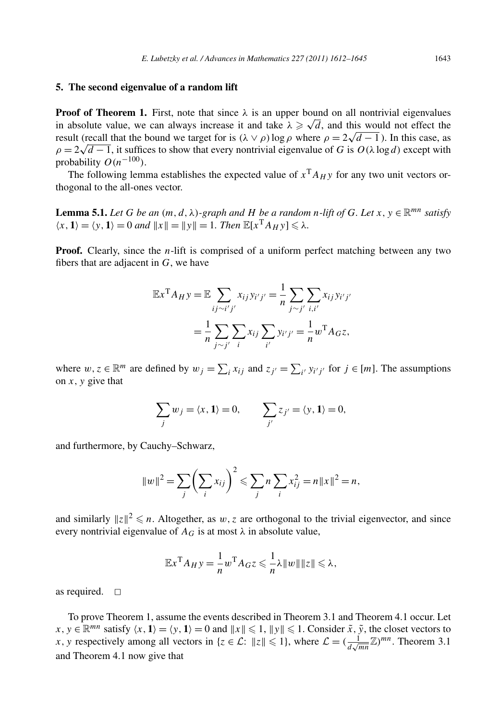## **5. The second eigenvalue of a random lift**

**Proof of Theorem 1.** First, note that since  $\lambda$  is an upper bound on all nontrivial eigenvalues in absolute value, we can always increase it and take  $\lambda \ge \sqrt{d}$ , and this would not effect the In absolute value, we can always increase it and take  $λ \geq \sqrt{a}$ , and this would not effect the result (recall that the bound we target for is  $(λ ∨ ρ)$  log  $ρ$  where  $ρ = 2√d − 1$ ). In this case, as *ρ* = 2 $\sqrt{d-1}$ , it suffices to show that every nontrivial eigenvalue of *G* is  $O(\lambda \log d)$  except with  $\rho = 2\sqrt{d-1}$ , it suffices to show that every nontrivial eigenvalue of *G* is  $O(\lambda \log d)$  except with probability  $O(n^{-100})$ .

The following lemma establishes the expected value of  $x<sup>T</sup>A<sub>H</sub>$  *y* for any two unit vectors orthogonal to the all-ones vector.

**Lemma 5.1.** *Let G be an*  $(m, d, \lambda)$ *-graph and H be a random n-lift of G. Let*  $x, y \in \mathbb{R}^{mn}$  *satisfy*  $\langle x, 1 \rangle = \langle y, 1 \rangle = 0$  *and*  $||x|| = ||y|| = 1$ *. Then*  $\mathbb{E}[x^T A_H y] \le \lambda$ *.* 

**Proof.** Clearly, since the *n*-lift is comprised of a uniform perfect matching between any two fibers that are adjacent in *G*, we have

$$
\mathbb{E}x^{\mathrm{T}} A_H y = \mathbb{E} \sum_{ij \sim i'j'} x_{ij} y_{i'j'} = \frac{1}{n} \sum_{j \sim j'} \sum_{i,i'} x_{ij} y_{i'j'}
$$

$$
= \frac{1}{n} \sum_{j \sim j'} \sum_{i} x_{ij} \sum_{i'} y_{i'j'} = \frac{1}{n} w^{\mathrm{T}} A_G z,
$$

where  $w, z \in \mathbb{R}^m$  are defined by  $w_j = \sum_i x_{ij}$  and  $z_{j'} = \sum_{i'} y_{i'j'}$  for  $j \in [m]$ . The assumptions on  $x$ ,  $y$  give that

$$
\sum_j w_j = \langle x, 1 \rangle = 0, \qquad \sum_{j'} z_{j'} = \langle y, 1 \rangle = 0,
$$

and furthermore, by Cauchy–Schwarz,

$$
||w||^2 = \sum_{j} \left(\sum_{i} x_{ij}\right)^2 \leq \sum_{j} n \sum_{i} x_{ij}^2 = n||x||^2 = n,
$$

and similarly  $||z||^2 \leq n$ . Altogether, as  $w, z$  are orthogonal to the trivial eigenvector, and since every nontrivial eigenvalue of  $A_G$  is at most  $\lambda$  in absolute value,

$$
\mathbb{E}x^{\mathrm{T}}A_{H}y = -\frac{1}{n}w^{\mathrm{T}}A_{G}z \leqslant -\frac{1}{n}\lambda \|w\| \|z\| \leqslant \lambda,
$$

as required.  $\square$ 

To prove Theorem 1, assume the events described in Theorem 3.1 and Theorem 4.1 occur. Let  $x, y \in \mathbb{R}^{mn}$  satisfy  $\langle x, 1 \rangle = \langle y, 1 \rangle = 0$  and  $||x|| \leq 1$ ,  $||y|| \leq 1$ . Consider  $\tilde{x}, \tilde{y}$ , the closet vectors to *x*, *y* respectively among all vectors in {*z*  $\in \mathcal{L}$ :  $||z|| \le 1$ }, where  $\mathcal{L} = (\frac{1}{d\sqrt{mn}}\mathbb{Z})^{mn}$ . Theorem 3.1 and Theorem 4.1 now give that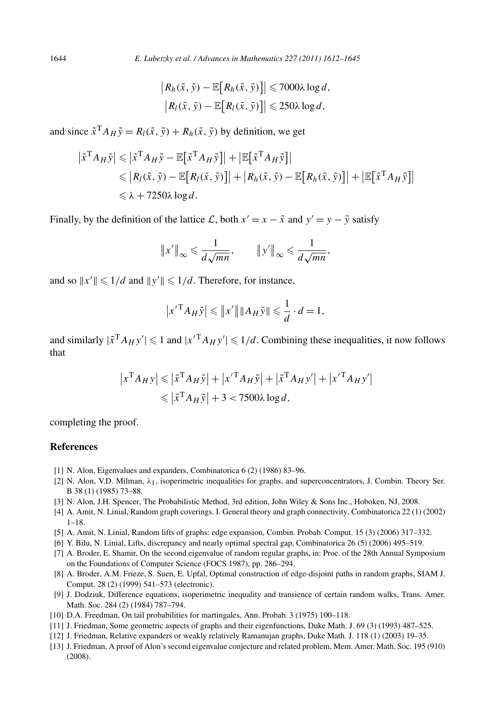$$
\left| R_h(\tilde{x}, \tilde{y}) - \mathbb{E}\big[R_h(\tilde{x}, \tilde{y})\big] \right| \leq 7000\lambda \log d,
$$
  

$$
\left| R_l(\tilde{x}, \tilde{y}) - \mathbb{E}\big[R_l(\tilde{x}, \tilde{y})\big] \right| \leq 250\lambda \log d,
$$

and since  $\tilde{x}^T A_H \tilde{v} = R_I(\tilde{x}, \tilde{v}) + R_h(\tilde{x}, \tilde{v})$  by definition, we get

$$
\begin{aligned} \left| \tilde{x}^{\mathrm{T}} A_H \tilde{y} \right| &\leq \left| \tilde{x}^{\mathrm{T}} A_H \tilde{y} - \mathbb{E} \big[ \tilde{x}^{\mathrm{T}} A_H \tilde{y} \big] \right| + \left| \mathbb{E} \big[ \tilde{x}^{\mathrm{T}} A_H \tilde{y} \big] \right| \\ &\leq \left| R_l(\tilde{x}, \tilde{y}) - \mathbb{E} \big[ R_l(\tilde{x}, \tilde{y}) \big] \right| + \left| R_h(\tilde{x}, \tilde{y}) - \mathbb{E} \big[ R_h(\tilde{x}, \tilde{y}) \big] \right| + \left| \mathbb{E} \big[ \tilde{x}^{\mathrm{T}} A_H \tilde{y} \big] \right| \\ &\leq \lambda + 7250 \lambda \log d. \end{aligned}
$$

Finally, by the definition of the lattice L, both  $x' = x - \tilde{x}$  and  $y' = y - \tilde{y}$  satisfy

$$
\|x'\|_{\infty} \leqslant \frac{1}{d\sqrt{mn}}, \qquad \|y'\|_{\infty} \leqslant \frac{1}{d\sqrt{mn}},
$$

and so  $||x'|| \leq 1/d$  and  $||y'|| \leq 1/d$ . Therefore, for instance,

$$
\left| x'^{\mathrm{T}} A_H \tilde{y} \right| \leqslant \left\| x' \right\| \left\| A_H \tilde{y} \right\| \leqslant \frac{1}{d} \cdot d = 1,
$$

and similarly  $|\tilde{x}^T A_H y'| \leq 1$  and  $|x'^T A_H y'| \leq 1/d$ . Combining these inequalities, it now follows that

$$
|x^{\mathrm{T}}A_Hy| \leq |x^{\mathrm{T}}A_H\tilde{y}| + |x'^{\mathrm{T}}A_H\tilde{y}| + |\tilde{x}^{\mathrm{T}}A_Hy'| + |x'^{\mathrm{T}}A_Hy'|
$$
  

$$
\leq |x^{\mathrm{T}}A_H\tilde{y}| + 3 < 7500\lambda \log d,
$$

completing the proof.

## **References**

- [1] N. Alon, Eigenvalues and expanders, Combinatorica 6 (2) (1986) 83–96.
- [2] N. Alon, V.D. Milman, *λ*1, isoperimetric inequalities for graphs, and superconcentrators, J. Combin. Theory Ser. B 38 (1) (1985) 73–88.
- [3] N. Alon, J.H. Spencer, The Probabilistic Method, 3rd edition, John Wiley & Sons Inc., Hoboken, NJ, 2008.
- [4] A. Amit, N. Linial, Random graph coverings. I. General theory and graph connectivity, Combinatorica 22 (1) (2002) 1–18.
- [5] A. Amit, N. Linial, Random lifts of graphs: edge expansion, Combin. Probab. Comput. 15 (3) (2006) 317–332.
- [6] Y. Bilu, N. Linial, Lifts, discrepancy and nearly optimal spectral gap, Combinatorica 26 (5) (2006) 495–519.
- [7] A. Broder, E. Shamir, On the second eigenvalue of random regular graphs, in: Proc. of the 28th Annual Symposium on the Foundations of Computer Science (FOCS 1987), pp. 286–294.
- [8] A. Broder, A.M. Frieze, S. Suen, E. Upfal, Optimal construction of edge-disjoint paths in random graphs, SIAM J. Comput. 28 (2) (1999) 541–573 (electronic).
- [9] J. Dodziuk, Difference equations, isoperimetric inequality and transience of certain random walks, Trans. Amer. Math. Soc. 284 (2) (1984) 787–794.
- [10] D.A. Freedman, On tail probabilities for martingales, Ann. Probab. 3 (1975) 100–118.
- [11] J. Friedman, Some geometric aspects of graphs and their eigenfunctions, Duke Math. J. 69 (3) (1993) 487–525.
- [12] J. Friedman, Relative expanders or weakly relatively Ramanujan graphs, Duke Math. J. 118 (1) (2003) 19–35.
- [13] J. Friedman, A proof of Alon's second eigenvalue conjecture and related problem, Mem. Amer. Math. Soc. 195 (910) (2008).